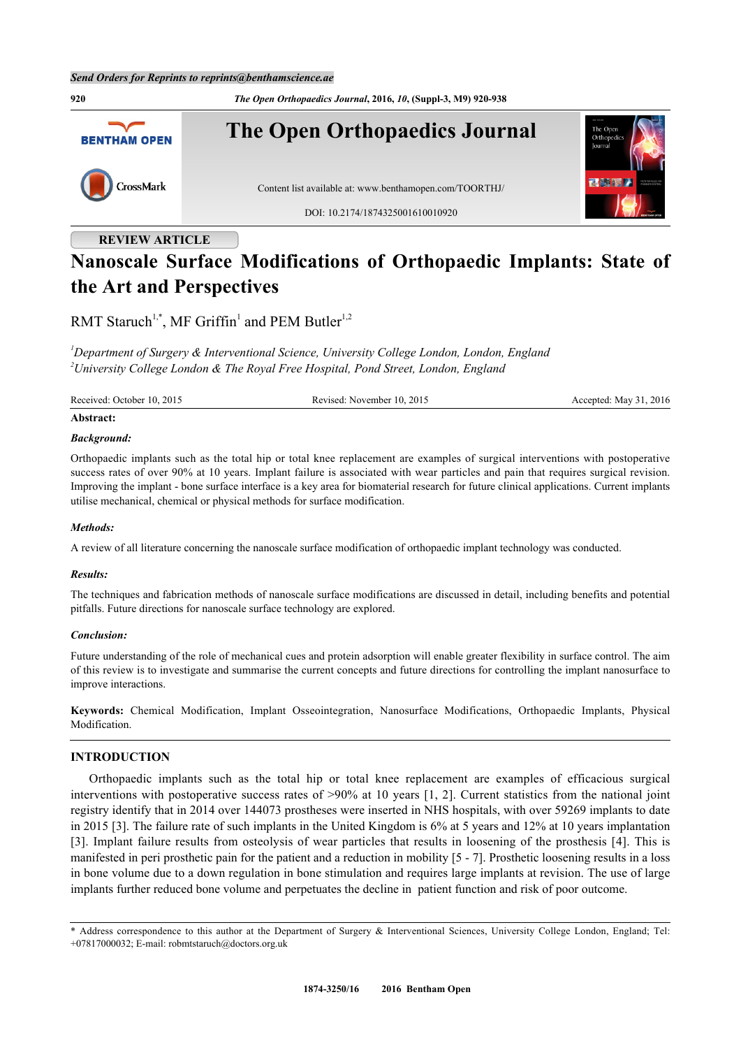

# **REVIEW ARTICLE**

# **Nanoscale Surface Modifications of Orthopaedic Implants: State of the Art and Perspectives**

RMT Staruch<sup>[1,](#page-0-0)[\\*](#page-0-1)</sup>, MF Griffin<sup>[1](#page-0-0)</sup> and PEM Butler<sup>1,[2](#page-0-2)</sup>

<span id="page-0-2"></span><span id="page-0-0"></span>*<sup>1</sup>Department of Surgery & Interventional Science, University College London, London, England <sup>2</sup>University College London & The Royal Free Hospital, Pond Street, London, England*

Received: October 10, 2015 Revised: November 10, 2015 Accepted: May 31, 2016

### **Abstract:**

### *Background:*

Orthopaedic implants such as the total hip or total knee replacement are examples of surgical interventions with postoperative success rates of over 90% at 10 years. Implant failure is associated with wear particles and pain that requires surgical revision. Improving the implant - bone surface interface is a key area for biomaterial research for future clinical applications. Current implants utilise mechanical, chemical or physical methods for surface modification.

### *Methods:*

A review of all literature concerning the nanoscale surface modification of orthopaedic implant technology was conducted.

### *Results:*

The techniques and fabrication methods of nanoscale surface modifications are discussed in detail, including benefits and potential pitfalls. Future directions for nanoscale surface technology are explored.

### *Conclusion:*

Future understanding of the role of mechanical cues and protein adsorption will enable greater flexibility in surface control. The aim of this review is to investigate and summarise the current concepts and future directions for controlling the implant nanosurface to improve interactions.

**Keywords:** Chemical Modification, Implant Osseointegration, Nanosurface Modifications, Orthopaedic Implants, Physical Modification.

# **INTRODUCTION**

Orthopaedic implants such as the total hip or total knee replacement are examples of efficacious surgical interventions with postoperative success rates of >90% at 10 years [\[1](#page--1-0), [2\]](#page--1-0). Current statistics from the national joint registry identify that in 2014 over 144073 prostheses were inserted in NHS hospitals, with over 59269 implants to date in 2015 [\[3](#page--1-0)]. The failure rate of such implants in the United Kingdom is 6% at 5 years and 12% at 10 years implantation [\[3](#page--1-0)]. Implant failure results from osteolysis of wear particles that results in loosening of the prosthesis [[4](#page--1-0)]. This is manifested in peri prosthetic pain for the patient and a reduction in mobility [\[5](#page--1-0) - [7\]](#page--1-0). Prosthetic loosening results in a loss in bone volume due to a down regulation in bone stimulation and requires large implants at revision. The use of large implants further reduced bone volume and perpetuates the decline in patient function and risk of poor outcome.

<span id="page-0-1"></span>\* Address correspondence to this author at the Department of Surgery & Interventional Sciences, University College London, England; Tel: +07817000032; E-mail: [robmtstaruch@doctors.org.uk](mailto:robmtstaruch@doctors.org.uk)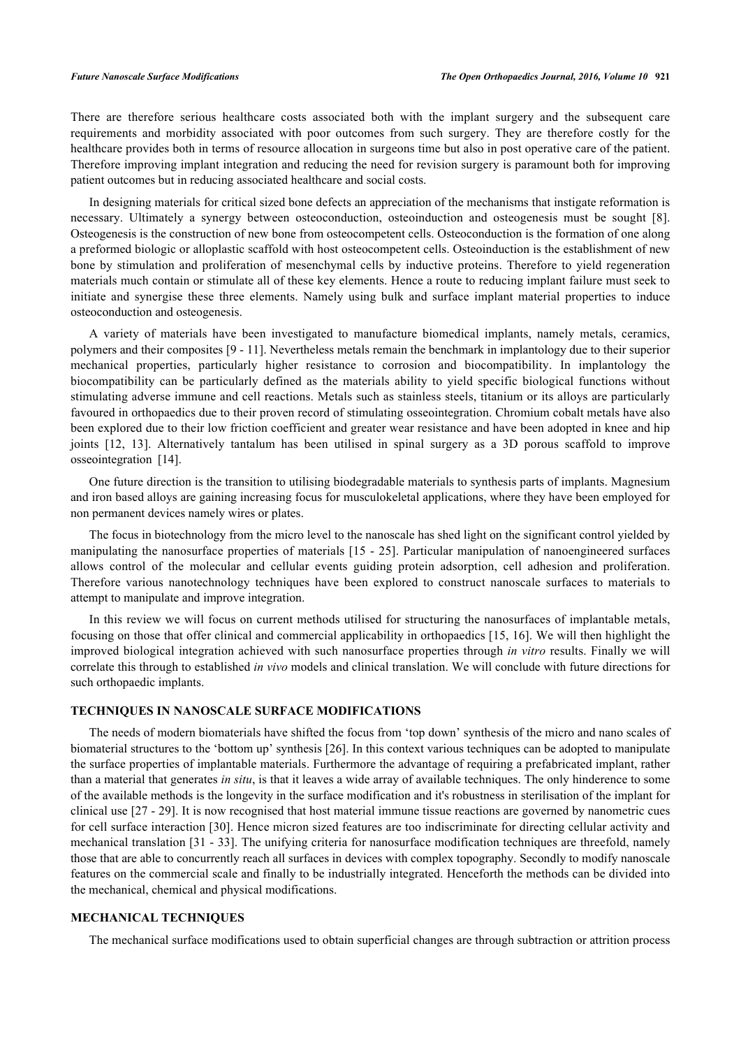There are therefore serious healthcare costs associated both with the implant surgery and the subsequent care requirements and morbidity associated with poor outcomes from such surgery. They are therefore costly for the healthcare provides both in terms of resource allocation in surgeons time but also in post operative care of the patient. Therefore improving implant integration and reducing the need for revision surgery is paramount both for improving patient outcomes but in reducing associated healthcare and social costs.

In designing materials for critical sized bone defects an appreciation of the mechanisms that instigate reformation is necessary. Ultimately a synergy between osteoconduction, osteoinduction and osteogenesis must be sought[[8\]](#page--1-0). Osteogenesis is the construction of new bone from osteocompetent cells. Osteoconduction is the formation of one along a preformed biologic or alloplastic scaffold with host osteocompetent cells. Osteoinduction is the establishment of new bone by stimulation and proliferation of mesenchymal cells by inductive proteins. Therefore to yield regeneration materials much contain or stimulate all of these key elements. Hence a route to reducing implant failure must seek to initiate and synergise these three elements. Namely using bulk and surface implant material properties to induce osteoconduction and osteogenesis.

A variety of materials have been investigated to manufacture biomedical implants, namely metals, ceramics, polymers and their composites [\[9](#page--1-0) - [11](#page--1-0)]. Nevertheless metals remain the benchmark in implantology due to their superior mechanical properties, particularly higher resistance to corrosion and biocompatibility. In implantology the biocompatibility can be particularly defined as the materials ability to yield specific biological functions without stimulating adverse immune and cell reactions. Metals such as stainless steels, titanium or its alloys are particularly favoured in orthopaedics due to their proven record of stimulating osseointegration. Chromium cobalt metals have also been explored due to their low friction coefficient and greater wear resistance and have been adopted in knee and hip joints[[12, 13\]](#page--1-0). Alternatively tantalum has been utilised in spinal surgery as a 3D porous scaffold to improve osseointegration [\[14](#page--1-0)].

One future direction is the transition to utilising biodegradable materials to synthesis parts of implants. Magnesium and iron based alloys are gaining increasing focus for musculokeletal applications, where they have been employed for non permanent devices namely wires or plates.

The focus in biotechnology from the micro level to the nanoscale has shed light on the significant control yielded by manipulating the nanosurface properties of materials [[15](#page--1-0) - [25\]](#page--1-0). Particular manipulation of nanoengineered surfaces allows control of the molecular and cellular events guiding protein adsorption, cell adhesion and proliferation. Therefore various nanotechnology techniques have been explored to construct nanoscale surfaces to materials to attempt to manipulate and improve integration.

In this review we will focus on current methods utilised for structuring the nanosurfaces of implantable metals, focusing on those that offer clinical and commercial applicability in orthopaedics [\[15](#page--1-0), [16](#page--1-0)]. We will then highlight the improved biological integration achieved with such nanosurface properties through *in vitro* results. Finally we will correlate this through to established *in vivo* models and clinical translation. We will conclude with future directions for such orthopaedic implants.

# **TECHNIQUES IN NANOSCALE SURFACE MODIFICATIONS**

The needs of modern biomaterials have shifted the focus from 'top down' synthesis of the micro and nano scales of biomaterial structures to the 'bottom up' synthesis [[26\]](#page--1-0). In this context various techniques can be adopted to manipulate the surface properties of implantable materials. Furthermore the advantage of requiring a prefabricated implant, rather than a material that generates *in situ*, is that it leaves a wide array of available techniques. The only hinderence to some of the available methods is the longevity in the surface modification and it's robustness in sterilisation of the implant for clinical use [[27](#page--1-0) - [29\]](#page--1-0). It is now recognised that host material immune tissue reactions are governed by nanometric cues for cell surface interaction [[30\]](#page--1-0). Hence micron sized features are too indiscriminate for directing cellular activity and mechanical translation [[31](#page--1-0) - [33](#page--1-0)]. The unifying criteria for nanosurface modification techniques are threefold, namely those that are able to concurrently reach all surfaces in devices with complex topography. Secondly to modify nanoscale features on the commercial scale and finally to be industrially integrated. Henceforth the methods can be divided into the mechanical, chemical and physical modifications.

# **MECHANICAL TECHNIQUES**

The mechanical surface modifications used to obtain superficial changes are through subtraction or attrition process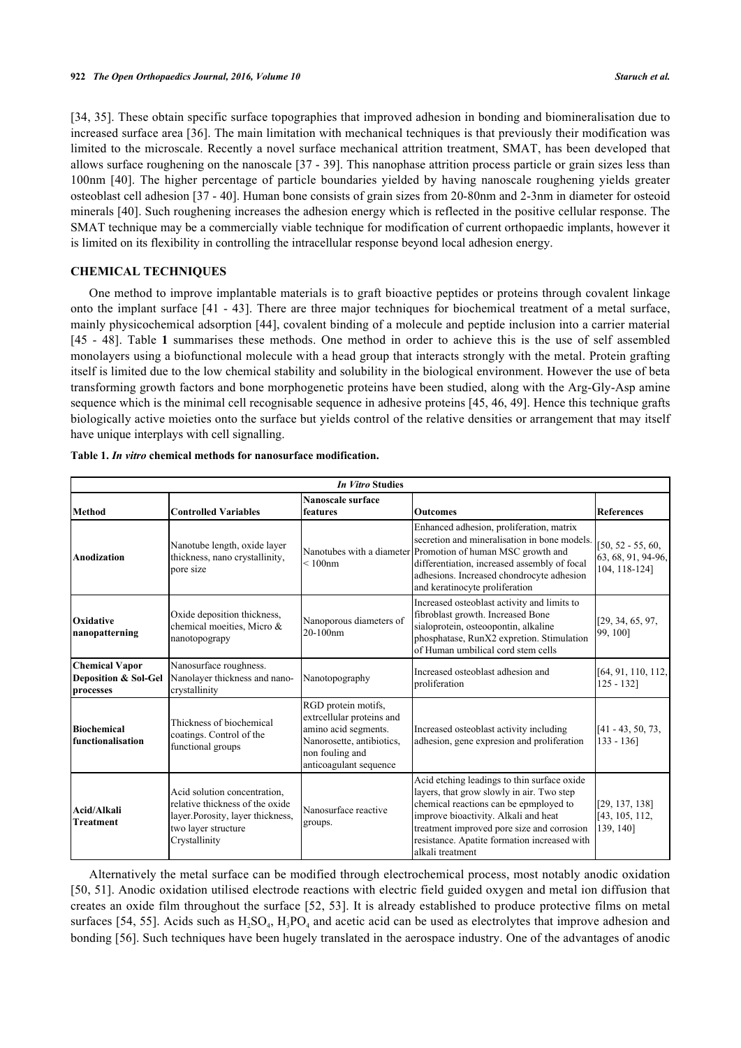[\[34](#page--1-0), [35](#page--1-0)]. These obtain specific surface topographies that improved adhesion in bonding and biomineralisation due to increased surface area [\[36\]](#page--1-0). The main limitation with mechanical techniques is that previously their modification was limited to the microscale. Recently a novel surface mechanical attrition treatment, SMAT, has been developed that allows surface roughening on the nanoscale [[37](#page--1-0) - [39\]](#page--1-0). This nanophase attrition process particle or grain sizes less than 100nm [\[40\]](#page--1-0). The higher percentage of particle boundaries yielded by having nanoscale roughening yields greater osteoblast cell adhesion [\[37](#page--1-0) - [40\]](#page--1-0). Human bone consists of grain sizes from 20-80nm and 2-3nm in diameter for osteoid minerals [[40\]](#page--1-0). Such roughening increases the adhesion energy which is reflected in the positive cellular response. The SMAT technique may be a commercially viable technique for modification of current orthopaedic implants, however it is limited on its flexibility in controlling the intracellular response beyond local adhesion energy.

# **CHEMICAL TECHNIQUES**

One method to improve implantable materials is to graft bioactive peptides or proteins through covalent linkage onto the implant surface [[41](#page--1-0) - [43\]](#page--1-0). There are three major techniques for biochemical treatment of a metal surface, mainly physicochemical adsorption [[44\]](#page--1-0), covalent binding of a molecule and peptide inclusion into a carrier material [\[45](#page--1-0) - [48](#page--1-0)]. Table**1** summarises these methods. One method in order to achieve this is the use of self assembled monolayers using a biofunctional molecule with a head group that interacts strongly with the metal. Protein grafting itself is limited due to the low chemical stability and solubility in the biological environment. However the use of beta transforming growth factors and bone morphogenetic proteins have been studied, along with the Arg-Gly-Asp amine sequence which is the minimal cell recognisable sequence in adhesive proteins [[45, 46](#page--1-0), [49](#page--1-0)]. Hence this technique grafts biologically active moieties onto the surface but yields control of the relative densities or arrangement that may itself have unique interplays with cell signalling.

|                                                            | <b>In Vitro Studies</b>                                                                                                                      |                                                                                                                                                    |                                                                                                                                                                                                                                                                                              |                                                            |  |  |  |
|------------------------------------------------------------|----------------------------------------------------------------------------------------------------------------------------------------------|----------------------------------------------------------------------------------------------------------------------------------------------------|----------------------------------------------------------------------------------------------------------------------------------------------------------------------------------------------------------------------------------------------------------------------------------------------|------------------------------------------------------------|--|--|--|
| Method                                                     | <b>Controlled Variables</b>                                                                                                                  | Nanoscale surface<br>features                                                                                                                      | <b>Outcomes</b>                                                                                                                                                                                                                                                                              | <b>References</b>                                          |  |  |  |
| Anodization                                                | Nanotube length, oxide layer<br>thickness, nano crystallinity,<br>pore size                                                                  | $< 100$ nm                                                                                                                                         | Enhanced adhesion, proliferation, matrix<br>secretion and mineralisation in bone models.<br>Nanotubes with a diameter Promotion of human MSC growth and<br>differentiation, increased assembly of focal<br>adhesions. Increased chondrocyte adhesion<br>and keratinocyte proliferation       | $[50, 52 - 55, 60]$<br>63, 68, 91, 94-96,<br>104, 118-1241 |  |  |  |
| Oxidative<br>nanopatterning                                | Oxide deposition thickness,<br>chemical moeities, Micro &<br>nanotopograpy                                                                   | Nanoporous diameters of<br>20-100nm                                                                                                                | Increased osteoblast activity and limits to<br>fibroblast growth. Increased Bone<br>sialoprotein, osteoopontin, alkaline<br>phosphatase, RunX2 expretion. Stimulation<br>of Human umbilical cord stem cells                                                                                  | [29, 34, 65, 97,<br>99, 100]                               |  |  |  |
| <b>Chemical Vapor</b><br>Deposition & Sol-Gel<br>processes | Nanosurface roughness.<br>Nanolayer thickness and nano-<br>crystallinity                                                                     | Nanotopography                                                                                                                                     | Increased osteoblast adhesion and<br>proliferation                                                                                                                                                                                                                                           | [64, 91, 110, 112,<br>$125 - 132$                          |  |  |  |
| Biochemical<br>lfunctionalisation                          | Thickness of biochemical<br>coatings. Control of the<br>functional groups                                                                    | RGD protein motifs,<br>extreellular proteins and<br>amino acid segments.<br>Nanorosette, antibiotics,<br>non fouling and<br>anticoagulant sequence | Increased osteoblast activity including<br>adhesion, gene expression and proliferation                                                                                                                                                                                                       | $[41 - 43, 50, 73]$<br>$133 - 136$                         |  |  |  |
| Acid/Alkali<br><b>Treatment</b>                            | Acid solution concentration,<br>relative thickness of the oxide<br>layer. Porosity, layer thickness,<br>two layer structure<br>Crystallinity | Nanosurface reactive<br>groups.                                                                                                                    | Acid etching leadings to thin surface oxide<br>layers, that grow slowly in air. Two step<br>chemical reactions can be epmployed to<br>improve bioactivity. Alkali and heat<br>treatment improved pore size and corrosion<br>resistance. Apatite formation increased with<br>alkali treatment | [29, 137, 138]<br>[43, 105, 112,<br>139, 140]              |  |  |  |

<span id="page-2-0"></span>**Table 1.** *In vitro* **chemical methods for nanosurface modification.**

Alternatively the metal surface can be modified through electrochemical process, most notably anodic oxidation [\[50](#page--1-0), [51](#page--1-0)]. Anodic oxidation utilised electrode reactions with electric field guided oxygen and metal ion diffusion that creates an oxide film throughout the surface [\[52, 53\]](#page--1-0). It is already established to produce protective films on metal surfaces [[54, 55\]](#page--1-0). Acids such as  $H_2SO_4$ ,  $H_3PO_4$  and acetic acid can be used as electrolytes that improve adhesion and bonding [[56](#page--1-0)]. Such techniques have been hugely translated in the aerospace industry. One of the advantages of anodic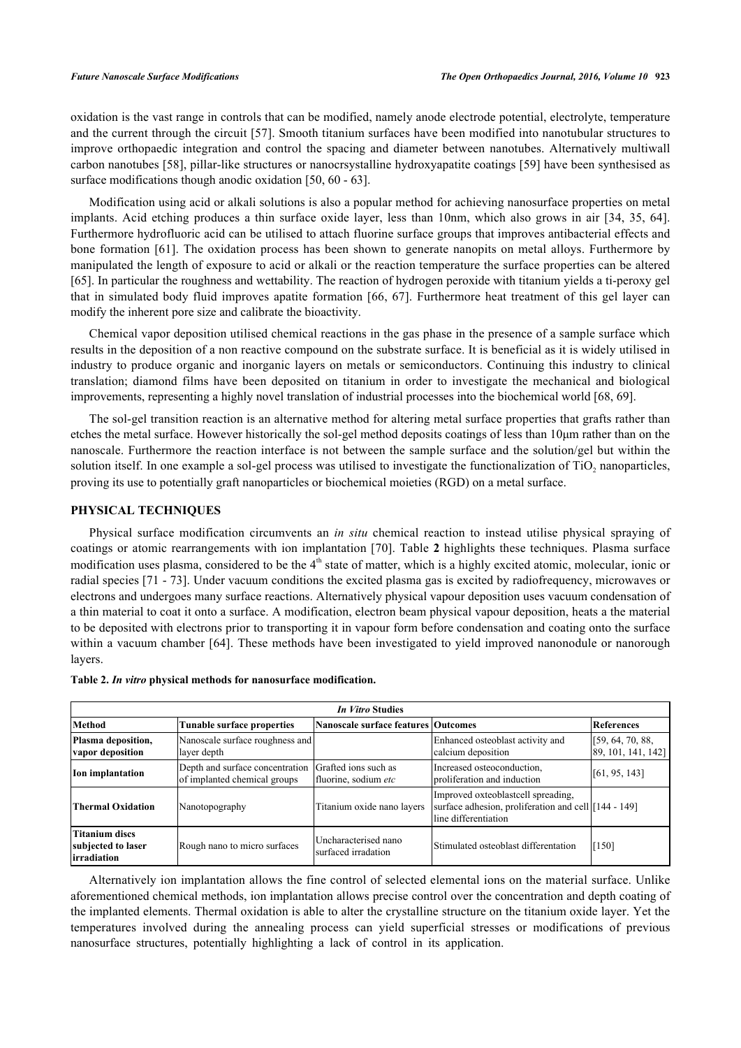oxidation is the vast range in controls that can be modified, namely anode electrode potential, electrolyte, temperature and the current through the circuit [[57](#page--1-0)]. Smooth titanium surfaces have been modified into nanotubular structures to improve orthopaedic integration and control the spacing and diameter between nanotubes. Alternatively multiwall carbon nanotubes [\[58](#page--1-0)], pillar-like structures or nanocrsystalline hydroxyapatite coatings [[59\]](#page--1-0) have been synthesised as surface modifications though anodic oxidation [[50,](#page--1-0) [60](#page--1-0) - [63\]](#page--1-0).

Modification using acid or alkali solutions is also a popular method for achieving nanosurface properties on metal implants. Acid etching produces a thin surface oxide layer, less than 10nm, which also grows in air [\[34](#page--1-0), [35](#page--1-0), [64\]](#page--1-0). Furthermore hydrofluoric acid can be utilised to attach fluorine surface groups that improves antibacterial effects and bone formation [[61\]](#page--1-0). The oxidation process has been shown to generate nanopits on metal alloys. Furthermore by manipulated the length of exposure to acid or alkali or the reaction temperature the surface properties can be altered [\[65](#page--1-0)]. In particular the roughness and wettability. The reaction of hydrogen peroxide with titanium yields a ti-peroxy gel that in simulated body fluid improves apatite formation [[66, 67](#page--1-0)]. Furthermore heat treatment of this gel layer can modify the inherent pore size and calibrate the bioactivity.

Chemical vapor deposition utilised chemical reactions in the gas phase in the presence of a sample surface which results in the deposition of a non reactive compound on the substrate surface. It is beneficial as it is widely utilised in industry to produce organic and inorganic layers on metals or semiconductors. Continuing this industry to clinical translation; diamond films have been deposited on titanium in order to investigate the mechanical and biological improvements, representing a highly novel translation of industrial processes into the biochemical world [[68,](#page--1-0) [69\]](#page--1-0).

The sol-gel transition reaction is an alternative method for altering metal surface properties that grafts rather than etches the metal surface. However historically the sol-gel method deposits coatings of less than 10μm rather than on the nanoscale. Furthermore the reaction interface is not between the sample surface and the solution/gel but within the solution itself. In one example a sol-gel process was utilised to investigate the functionalization of TiO<sub>2</sub> nanoparticles, proving its use to potentially graft nanoparticles or biochemical moieties (RGD) on a metal surface.

# **PHYSICAL TECHNIQUES**

Physical surface modification circumvents an *in situ* chemical reaction to instead utilise physical spraying of coatings or atomic rearrangements with ion implantation [[70\]](#page--1-0). Table **[2](#page-3-0)** highlights these techniques. Plasma surface modification uses plasma, considered to be the 4<sup>th</sup> state of matter, which is a highly excited atomic, molecular, ionic or radial species [[71](#page--1-0) - [73\]](#page--1-0). Under vacuum conditions the excited plasma gas is excited by radiofrequency, microwaves or electrons and undergoes many surface reactions. Alternatively physical vapour deposition uses vacuum condensation of a thin material to coat it onto a surface. A modification, electron beam physical vapour deposition, heats a the material to be deposited with electrons prior to transporting it in vapour form before condensation and coating onto the surface within a vacuum chamber [\[64\]](#page--1-0). These methods have been investigated to yield improved nanonodule or nanorough layers.

| <b>In Vitro Studies</b>                                     |                                                                 |                                              |                                                                                                                     |                                        |  |  |  |
|-------------------------------------------------------------|-----------------------------------------------------------------|----------------------------------------------|---------------------------------------------------------------------------------------------------------------------|----------------------------------------|--|--|--|
| Method<br>Tunable surface properties                        |                                                                 | Nanoscale surface features Outcomes          |                                                                                                                     | References                             |  |  |  |
| Plasma deposition,<br>vapor deposition                      | Nanoscale surface roughness and<br>layer depth                  |                                              | Enhanced osteoblast activity and<br>calcium deposition                                                              | [59, 64, 70, 88]<br>89, 101, 141, 142] |  |  |  |
| Ion implantation                                            | Depth and surface concentration<br>of implanted chemical groups | Grafted ions such as<br>fluorine, sodium etc | Increased osteoconduction,<br>proliferation and induction                                                           | [61, 95, 143]                          |  |  |  |
| Thermal Oxidation                                           | Nanotopography                                                  | Titanium oxide nano layers                   | Improved oxteoblastcell spreading,<br>surface adhesion, proliferation and cell [144 - 149]<br>lline differentiation |                                        |  |  |  |
| <b>Titanium discs</b><br>subjected to laser<br>lirradiation | Rough nano to micro surfaces                                    | Uncharacterised nano<br>surfaced irradation  | Stimulated osteoblast differentation                                                                                | $\left[150\right]$                     |  |  |  |

<span id="page-3-0"></span>**Table 2.** *In vitro* **physical methods for nanosurface modification.**

Alternatively ion implantation allows the fine control of selected elemental ions on the material surface. Unlike aforementioned chemical methods, ion implantation allows precise control over the concentration and depth coating of the implanted elements. Thermal oxidation is able to alter the crystalline structure on the titanium oxide layer. Yet the temperatures involved during the annealing process can yield superficial stresses or modifications of previous nanosurface structures, potentially highlighting a lack of control in its application.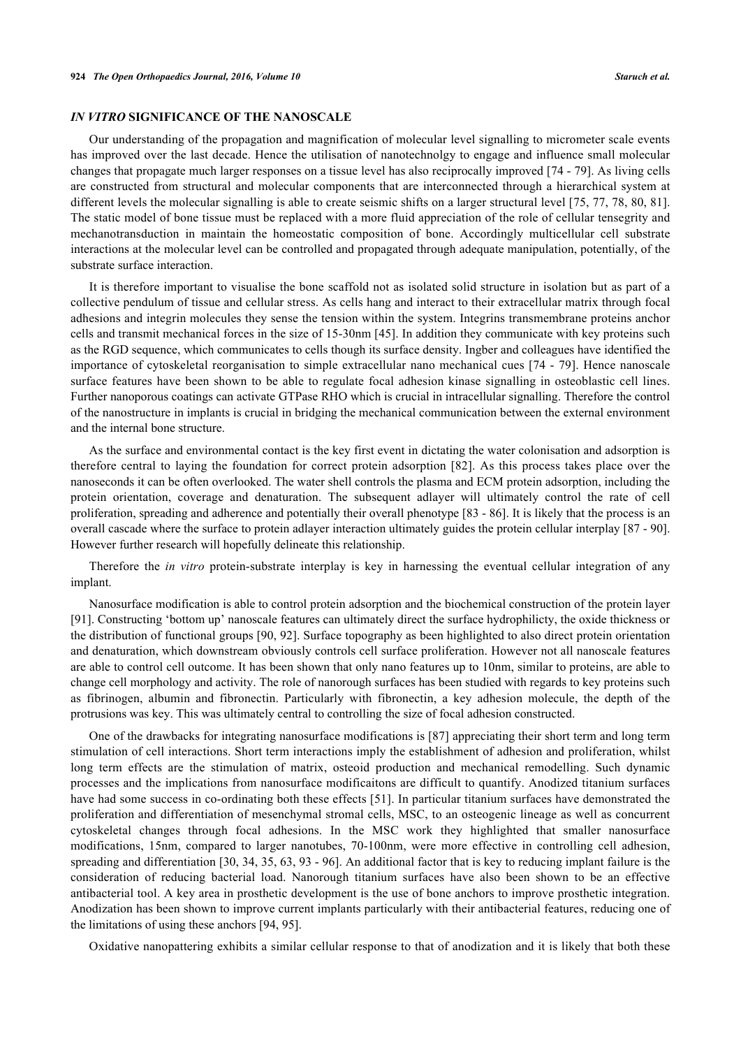# *IN VITRO* **SIGNIFICANCE OF THE NANOSCALE**

Our understanding of the propagation and magnification of molecular level signalling to micrometer scale events has improved over the last decade. Hence the utilisation of nanotechnolgy to engage and influence small molecular changes that propagate much larger responses on a tissue level has also reciprocally improved [[74](#page--1-0) - [79\]](#page--1-0). As living cells are constructed from structural and molecular components that are interconnected through a hierarchical system at different levels the molecular signalling is able to create seismic shifts on a larger structural level [[75, 77](#page--1-0), [78, 80](#page--1-0), [81\]](#page--1-0). The static model of bone tissue must be replaced with a more fluid appreciation of the role of cellular tensegrity and mechanotransduction in maintain the homeostatic composition of bone. Accordingly multicellular cell substrate interactions at the molecular level can be controlled and propagated through adequate manipulation, potentially, of the substrate surface interaction.

It is therefore important to visualise the bone scaffold not as isolated solid structure in isolation but as part of a collective pendulum of tissue and cellular stress. As cells hang and interact to their extracellular matrix through focal adhesions and integrin molecules they sense the tension within the system. Integrins transmembrane proteins anchor cells and transmit mechanical forces in the size of 15-30nm [\[45](#page--1-0)]. In addition they communicate with key proteins such as the RGD sequence, which communicates to cells though its surface density. Ingber and colleagues have identified the importance of cytoskeletal reorganisation to simple extracellular nano mechanical cues [\[74](#page--1-0) - [79](#page--1-0)]. Hence nanoscale surface features have been shown to be able to regulate focal adhesion kinase signalling in osteoblastic cell lines. Further nanoporous coatings can activate GTPase RHO which is crucial in intracellular signalling. Therefore the control of the nanostructure in implants is crucial in bridging the mechanical communication between the external environment and the internal bone structure.

As the surface and environmental contact is the key first event in dictating the water colonisation and adsorption is therefore central to laying the foundation for correct protein adsorption [[82](#page--1-0)]. As this process takes place over the nanoseconds it can be often overlooked. The water shell controls the plasma and ECM protein adsorption, including the protein orientation, coverage and denaturation. The subsequent adlayer will ultimately control the rate of cell proliferation, spreading and adherence and potentially their overall phenotype [[83](#page--1-0) - [86](#page--1-0)]. It is likely that the process is an overall cascade where the surface to protein adlayer interaction ultimately guides the protein cellular interplay [\[87](#page--1-0) - [90\]](#page--1-0). However further research will hopefully delineate this relationship.

Therefore the *in vitro* protein-substrate interplay is key in harnessing the eventual cellular integration of any implant.

Nanosurface modification is able to control protein adsorption and the biochemical construction of the protein layer [\[91](#page--1-0)]. Constructing 'bottom up' nanoscale features can ultimately direct the surface hydrophilicty, the oxide thickness or the distribution of functional groups [[90, 92](#page--1-0)]. Surface topography as been highlighted to also direct protein orientation and denaturation, which downstream obviously controls cell surface proliferation. However not all nanoscale features are able to control cell outcome. It has been shown that only nano features up to 10nm, similar to proteins, are able to change cell morphology and activity. The role of nanorough surfaces has been studied with regards to key proteins such as fibrinogen, albumin and fibronectin. Particularly with fibronectin, a key adhesion molecule, the depth of the protrusions was key. This was ultimately central to controlling the size of focal adhesion constructed.

One of the drawbacks for integrating nanosurface modifications is [[87\]](#page--1-0) appreciating their short term and long term stimulation of cell interactions. Short term interactions imply the establishment of adhesion and proliferation, whilst long term effects are the stimulation of matrix, osteoid production and mechanical remodelling. Such dynamic processes and the implications from nanosurface modificaitons are difficult to quantify. Anodized titanium surfaces have had some success in co-ordinating both these effects [[51](#page--1-0)]. In particular titanium surfaces have demonstrated the proliferation and differentiation of mesenchymal stromal cells, MSC, to an osteogenic lineage as well as concurrent cytoskeletal changes through focal adhesions. In the MSC work they highlighted that smaller nanosurface modifications, 15nm, compared to larger nanotubes, 70-100nm, were more effective in controlling cell adhesion, spreading and differentiation [\[30,](#page--1-0) [34,](#page--1-0) [35](#page--1-0), [63](#page--1-0), [93](#page--1-0) - [96](#page--1-0)]. An additional factor that is key to reducing implant failure is the consideration of reducing bacterial load. Nanorough titanium surfaces have also been shown to be an effective antibacterial tool. A key area in prosthetic development is the use of bone anchors to improve prosthetic integration. Anodization has been shown to improve current implants particularly with their antibacterial features, reducing one of the limitations of using these anchors [[94,](#page--1-0) [95\]](#page--1-0).

Oxidative nanopattering exhibits a similar cellular response to that of anodization and it is likely that both these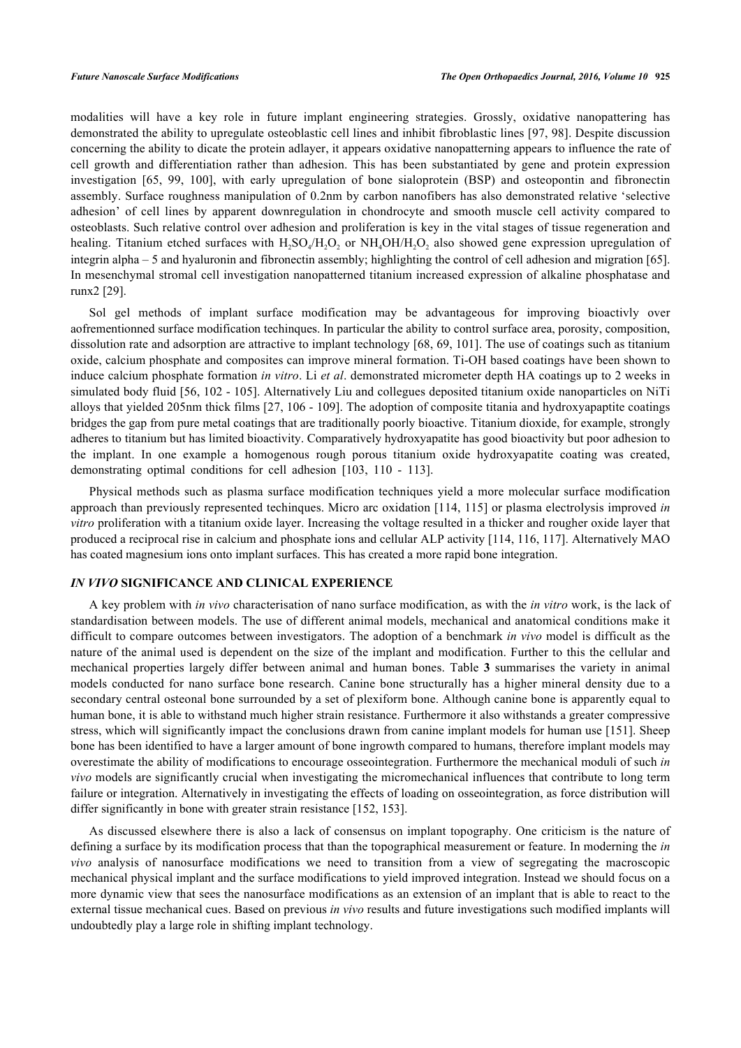modalities will have a key role in future implant engineering strategies. Grossly, oxidative nanopattering has demonstrated the ability to upregulate osteoblastic cell lines and inhibit fibroblastic lines [[97, 98](#page--1-0)]. Despite discussion concerning the ability to dicate the protein adlayer, it appears oxidative nanopatterning appears to influence the rate of cell growth and differentiation rather than adhesion. This has been substantiated by gene and protein expression investigation[[65, 99](#page--1-0), [100\]](#page--1-0), with early upregulation of bone sialoprotein (BSP) and osteopontin and fibronectin assembly. Surface roughness manipulation of 0.2nm by carbon nanofibers has also demonstrated relative 'selective adhesion' of cell lines by apparent downregulation in chondrocyte and smooth muscle cell activity compared to osteoblasts. Such relative control over adhesion and proliferation is key in the vital stages of tissue regeneration and healing. Titanium etched surfaces with  $H_2SO_4/H_2O_2$  or  $NH_4OH/H_2O_2$  also showed gene expression upregulation of integrin alpha – 5 and hyaluronin and fibronectin assembly; highlighting the control of cell adhesion and migration [[65\]](#page--1-0). In mesenchymal stromal cell investigation nanopatterned titanium increased expression of alkaline phosphatase and runx2 [[29\]](#page--1-0).

Sol gel methods of implant surface modification may be advantageous for improving bioactivly over aofrementionned surface modification techinques. In particular the ability to control surface area, porosity, composition, dissolution rate and adsorption are attractive to implant technology [[68,](#page--1-0) [69](#page--1-0), [101\]](#page--1-0). The use of coatings such as titanium oxide, calcium phosphate and composites can improve mineral formation. Ti-OH based coatings have been shown to induce calcium phosphate formation *in vitro*. Li *et al*. demonstrated micrometer depth HA coatings up to 2 weeks in simulated body fluid [[56](#page--1-0), [102](#page--1-0) - [105](#page--1-0)]. Alternatively Liu and collegues deposited titanium oxide nanoparticles on NiTi alloys that yielded 205nm thick films [\[27](#page--1-0), [106](#page--1-0) - [109\]](#page--1-0). The adoption of composite titania and hydroxyapaptite coatings bridges the gap from pure metal coatings that are traditionally poorly bioactive. Titanium dioxide, for example, strongly adheres to titanium but has limited bioactivity. Comparatively hydroxyapatite has good bioactivity but poor adhesion to the implant. In one example a homogenous rough porous titanium oxide hydroxyapatite coating was created, demonstrating optimal conditions for cell adhesion [\[103](#page--1-0), [110](#page--1-0) - [113](#page--1-0)].

Physical methods such as plasma surface modification techniques yield a more molecular surface modification approach than previously represented techinques. Micro arc oxidation [\[114, 115\]](#page--1-0) or plasma electrolysis improved *in vitro* proliferation with a titanium oxide layer. Increasing the voltage resulted in a thicker and rougher oxide layer that produced a reciprocal rise in calcium and phosphate ions and cellular ALP activity [[114,](#page--1-0) [116, 117](#page--1-0)]. Alternatively MAO has coated magnesium ions onto implant surfaces. This has created a more rapid bone integration.

# *IN VIVO* **SIGNIFICANCE AND CLINICAL EXPERIENCE**

A key problem with *in vivo* characterisation of nano surface modification, as with the *in vitro* work, is the lack of standardisation between models. The use of different animal models, mechanical and anatomical conditions make it difficult to compare outcomes between investigators. The adoption of a benchmark *in vivo* model is difficult as the nature of the animal used is dependent on the size of the implant and modification. Further to this the cellular and mechanical properties largely differ between animal and human bones. Table**3** summarises the variety in animal models conducted for nano surface bone research. Canine bone structurally has a higher mineral density due to a secondary central osteonal bone surrounded by a set of plexiform bone. Although canine bone is apparently equal to human bone, it is able to withstand much higher strain resistance. Furthermore it also withstands a greater compressive stress, which will significantly impact the conclusions drawn from canine implant models for human use [[151](#page--1-0)]. Sheep bone has been identified to have a larger amount of bone ingrowth compared to humans, therefore implant models may overestimate the ability of modifications to encourage osseointegration. Furthermore the mechanical moduli of such *in vivo* models are significantly crucial when investigating the micromechanical influences that contribute to long term failure or integration. Alternatively in investigating the effects of loading on osseointegration, as force distribution will differ significantly in bone with greater strain resistance [[152,](#page--1-0) [153\]](#page--1-0).

As discussed elsewhere there is also a lack of consensus on implant topography. One criticism is the nature of defining a surface by its modification process that than the topographical measurement or feature. In moderning the *in vivo* analysis of nanosurface modifications we need to transition from a view of segregating the macroscopic mechanical physical implant and the surface modifications to yield improved integration. Instead we should focus on a more dynamic view that sees the nanosurface modifications as an extension of an implant that is able to react to the external tissue mechanical cues. Based on previous *in vivo* results and future investigations such modified implants will undoubtedly play a large role in shifting implant technology.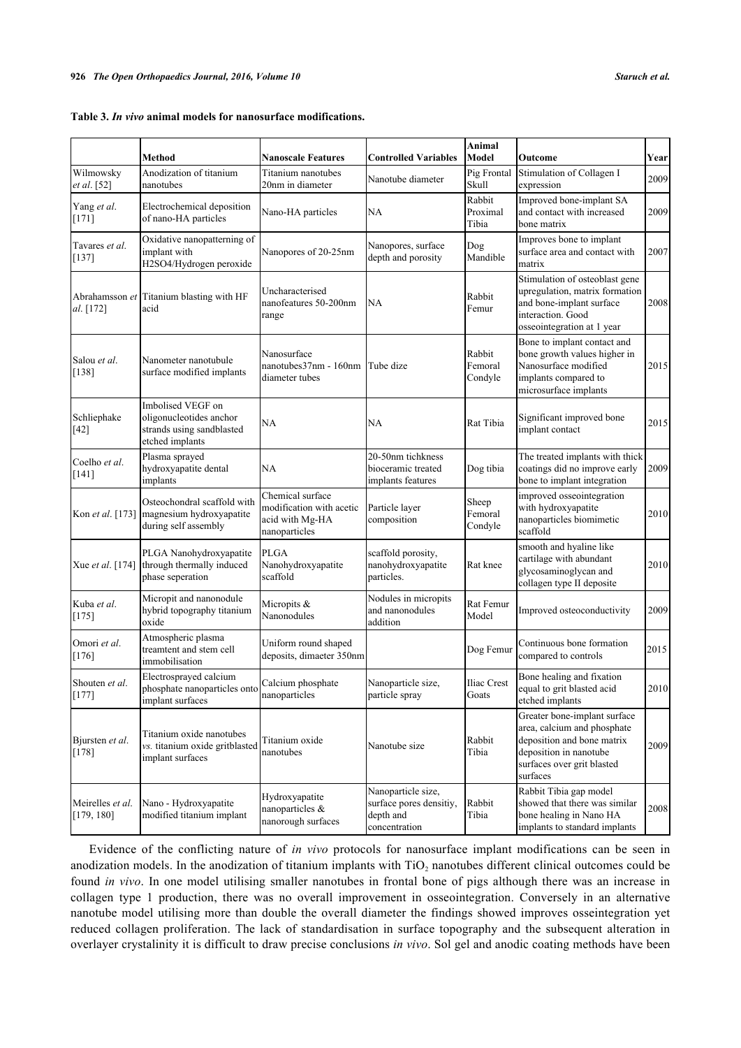<span id="page-6-0"></span>

|  |  |  |  |  |  | Table 3. In vivo animal models for nanosurface modifications. |
|--|--|--|--|--|--|---------------------------------------------------------------|
|--|--|--|--|--|--|---------------------------------------------------------------|

|                                | <b>Method</b>                                                                                | <b>Nanoscale Features</b>                                                        | <b>Controlled Variables</b>                                                 | Animal<br>Model              | Outcome                                                                                                                                                       | Year |
|--------------------------------|----------------------------------------------------------------------------------------------|----------------------------------------------------------------------------------|-----------------------------------------------------------------------------|------------------------------|---------------------------------------------------------------------------------------------------------------------------------------------------------------|------|
| Wilmowsky<br>et al. [52]       | Anodization of titanium<br>nanotubes                                                         | Titanium nanotubes<br>20nm in diameter                                           | Nanotube diameter                                                           | Pig Frontal<br>Skull         | Stimulation of Collagen I<br>expression                                                                                                                       | 2009 |
| Yang et al.<br>$[171]$         | Electrochemical deposition<br>of nano-HA particles                                           | Nano-HA particles                                                                | NA                                                                          | Rabbit<br>Proximal<br>Tibia  | Improved bone-implant SA<br>and contact with increased<br>bone matrix                                                                                         | 2009 |
| Tavares et al.<br>$[137]$      | Oxidative nanopatterning of<br>implant with<br>H2SO4/Hydrogen peroxide                       | Nanopores of 20-25nm                                                             | Nanopores, surface<br>depth and porosity                                    | Dog<br>Mandible              | Improves bone to implant<br>surface area and contact with<br>matrix                                                                                           | 2007 |
| Abrahamsson et<br>al. [172]    | Titanium blasting with HF<br>acid                                                            | Uncharacterised<br>nanofeatures 50-200nm<br>range                                | NA                                                                          | Rabbit<br>Femur              | Stimulation of osteoblast gene<br>upregulation, matrix formation<br>and bone-implant surface<br>interaction. Good<br>osseointegration at 1 year               | 2008 |
| Salou et al.<br>$[138]$        | Nanometer nanotubule<br>surface modified implants                                            | Nanosurface<br>nanotubes37nm - 160nm<br>diameter tubes                           | Tube dize                                                                   | Rabbit<br>Femoral<br>Condyle | Bone to implant contact and<br>bone growth values higher in<br>Nanosurface modified<br>implants compared to<br>microsurface implants                          | 2015 |
| Schliephake<br>$[42]$          | Imbolised VEGF on<br>oligonucleotides anchor<br>strands using sandblasted<br>etched implants | NA                                                                               | NA                                                                          | Rat Tibia                    | Significant improved bone<br>implant contact                                                                                                                  | 2015 |
| Coelho et al.<br>[141]         | Plasma sprayed<br>hydroxyapatite dental<br>implants                                          | NA                                                                               | 20-50nm tichkness<br>bioceramic treated<br>implants features                | Dog tibia                    | The treated implants with thick<br>coatings did no improve early<br>bone to implant integration                                                               | 2009 |
| Kon et al. [173]               | Osteochondral scaffold with<br>magnesium hydroxyapatite<br>during self assembly              | Chemical surface<br>modification with acetic<br>acid with Mg-HA<br>nanoparticles | Particle layer<br>composition                                               | Sheep<br>Femoral<br>Condyle  | improved osseointegration<br>with hydroxyapatite<br>nanoparticles biomimetic<br>scaffold                                                                      | 2010 |
| Xue et al. [174]               | PLGA Nanohydroxyapatite<br>through thermally induced<br>phase seperation                     | <b>PLGA</b><br>Nanohydroxyapatite<br>scaffold                                    | scaffold porosity,<br>nanohydroxyapatite<br>particles.                      | Rat knee                     | smooth and hyaline like<br>cartilage with abundant<br>glycosaminoglycan and<br>collagen type II deposite                                                      | 2010 |
| Kuba et al.<br>$[175]$         | Micropit and nanonodule<br>hybrid topography titanium<br>oxide                               | Micropits &<br>Nanonodules                                                       | Nodules in micropits<br>and nanonodules<br>addition                         | Rat Femur<br>Model           | Improved osteoconductivity                                                                                                                                    | 2009 |
| Omori et al.<br>$[176]$        | Atmospheric plasma<br>treamtent and stem cell<br>immobilisation                              | Uniform round shaped<br>deposits, dimaeter 350nm                                 |                                                                             | Dog Femur                    | Continuous bone formation<br>compared to controls                                                                                                             | 2015 |
| Shouten et al.<br>$[177]$      | Electrosprayed calcium<br>phosphate nanoparticles onto<br>implant surfaces                   | Calcium phosphate<br>nanoparticles                                               | Nanoparticle size,<br>particle spray                                        | Iliac Crest<br>Goats         | Bone healing and fixation<br>equal to grit blasted acid<br>etched implants                                                                                    | 2010 |
| Bjursten et al.<br>$[178]$     | Titanium oxide nanotubes<br>vs. titanium oxide gritblasted<br>implant surfaces               | Titanium oxide<br>nanotubes                                                      | Nanotube size                                                               | Rabbit<br>Tibia              | Greater bone-implant surface<br>area, calcium and phosphate<br>deposition and bone matrix<br>deposition in nanotube<br>surfaces over grit blasted<br>surfaces | 2009 |
| Meirelles et al.<br>[179, 180] | Nano - Hydroxyapatite<br>modified titanium implant                                           | Hydroxyapatite<br>nanoparticles &<br>nanorough surfaces                          | Nanoparticle size,<br>surface pores densitiy,<br>depth and<br>concentration | Rabbit<br>Tibia              | Rabbit Tibia gap model<br>showed that there was similar<br>bone healing in Nano HA<br>implants to standard implants                                           | 2008 |

Evidence of the conflicting nature of *in vivo* protocols for nanosurface implant modifications can be seen in anodization models. In the anodization of titanium implants with  $TiO<sub>2</sub>$  nanotubes different clinical outcomes could be found *in vivo*. In one model utilising smaller nanotubes in frontal bone of pigs although there was an increase in collagen type 1 production, there was no overall improvement in osseointegration. Conversely in an alternative nanotube model utilising more than double the overall diameter the findings showed improves osseintegration yet reduced collagen proliferation. The lack of standardisation in surface topography and the subsequent alteration in overlayer crystalinity it is difficult to draw precise conclusions *in vivo*. Sol gel and anodic coating methods have been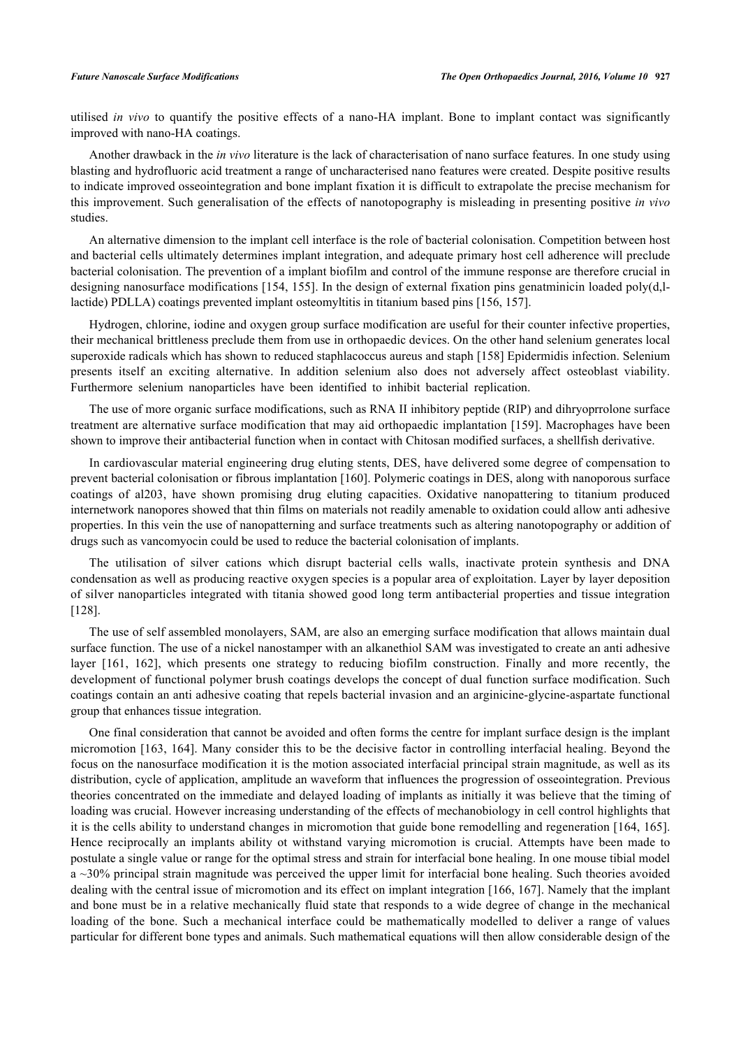utilised *in vivo* to quantify the positive effects of a nano-HA implant. Bone to implant contact was significantly improved with nano-HA coatings.

Another drawback in the *in vivo* literature is the lack of characterisation of nano surface features. In one study using blasting and hydrofluoric acid treatment a range of uncharacterised nano features were created. Despite positive results to indicate improved osseointegration and bone implant fixation it is difficult to extrapolate the precise mechanism for this improvement. Such generalisation of the effects of nanotopography is misleading in presenting positive *in vivo* studies.

An alternative dimension to the implant cell interface is the role of bacterial colonisation. Competition between host and bacterial cells ultimately determines implant integration, and adequate primary host cell adherence will preclude bacterial colonisation. The prevention of a implant biofilm and control of the immune response are therefore crucial in designing nanosurface modifications [[154](#page--1-0), [155\]](#page--1-0). In the design of external fixation pins genatminicin loaded poly(d,llactide) PDLLA) coatings prevented implant osteomyltitis in titanium based pins [\[156](#page--1-0), [157](#page--1-0)].

Hydrogen, chlorine, iodine and oxygen group surface modification are useful for their counter infective properties, their mechanical brittleness preclude them from use in orthopaedic devices. On the other hand selenium generates local superoxide radicals which has shown to reduced staphlacoccus aureus and staph [[158\]](#page--1-0) Epidermidis infection. Selenium presents itself an exciting alternative. In addition selenium also does not adversely affect osteoblast viability. Furthermore selenium nanoparticles have been identified to inhibit bacterial replication.

The use of more organic surface modifications, such as RNA II inhibitory peptide (RIP) and dihryoprrolone surface treatment are alternative surface modification that may aid orthopaedic implantation [\[159](#page--1-0)]. Macrophages have been shown to improve their antibacterial function when in contact with Chitosan modified surfaces, a shellfish derivative.

In cardiovascular material engineering drug eluting stents, DES, have delivered some degree of compensation to prevent bacterial colonisation or fibrous implantation [[160](#page--1-0)]. Polymeric coatings in DES, along with nanoporous surface coatings of al203, have shown promising drug eluting capacities. Oxidative nanopattering to titanium produced internetwork nanopores showed that thin films on materials not readily amenable to oxidation could allow anti adhesive properties. In this vein the use of nanopatterning and surface treatments such as altering nanotopography or addition of drugs such as vancomyocin could be used to reduce the bacterial colonisation of implants.

The utilisation of silver cations which disrupt bacterial cells walls, inactivate protein synthesis and DNA condensation as well as producing reactive oxygen species is a popular area of exploitation. Layer by layer deposition of silver nanoparticles integrated with titania showed good long term antibacterial properties and tissue integration [\[128](#page--1-0)].

The use of self assembled monolayers, SAM, are also an emerging surface modification that allows maintain dual surface function. The use of a nickel nanostamper with an alkanethiol SAM was investigated to create an anti adhesive layer [\[161, 162\]](#page--1-0), which presents one strategy to reducing biofilm construction. Finally and more recently, the development of functional polymer brush coatings develops the concept of dual function surface modification. Such coatings contain an anti adhesive coating that repels bacterial invasion and an arginicine-glycine-aspartate functional group that enhances tissue integration.

One final consideration that cannot be avoided and often forms the centre for implant surface design is the implant micromotion [\[163,](#page--1-0) [164\]](#page--1-0). Many consider this to be the decisive factor in controlling interfacial healing. Beyond the focus on the nanosurface modification it is the motion associated interfacial principal strain magnitude, as well as its distribution, cycle of application, amplitude an waveform that influences the progression of osseointegration. Previous theories concentrated on the immediate and delayed loading of implants as initially it was believe that the timing of loading was crucial. However increasing understanding of the effects of mechanobiology in cell control highlights that it is the cells ability to understand changes in micromotion that guide bone remodelling and regeneration [[164, 165\]](#page--1-0). Hence reciprocally an implants ability ot withstand varying micromotion is crucial. Attempts have been made to postulate a single value or range for the optimal stress and strain for interfacial bone healing. In one mouse tibial model a ~30% principal strain magnitude was perceived the upper limit for interfacial bone healing. Such theories avoided dealing with the central issue of micromotion and its effect on implant integration [[166](#page--1-0), [167](#page--1-0)]. Namely that the implant and bone must be in a relative mechanically fluid state that responds to a wide degree of change in the mechanical loading of the bone. Such a mechanical interface could be mathematically modelled to deliver a range of values particular for different bone types and animals. Such mathematical equations will then allow considerable design of the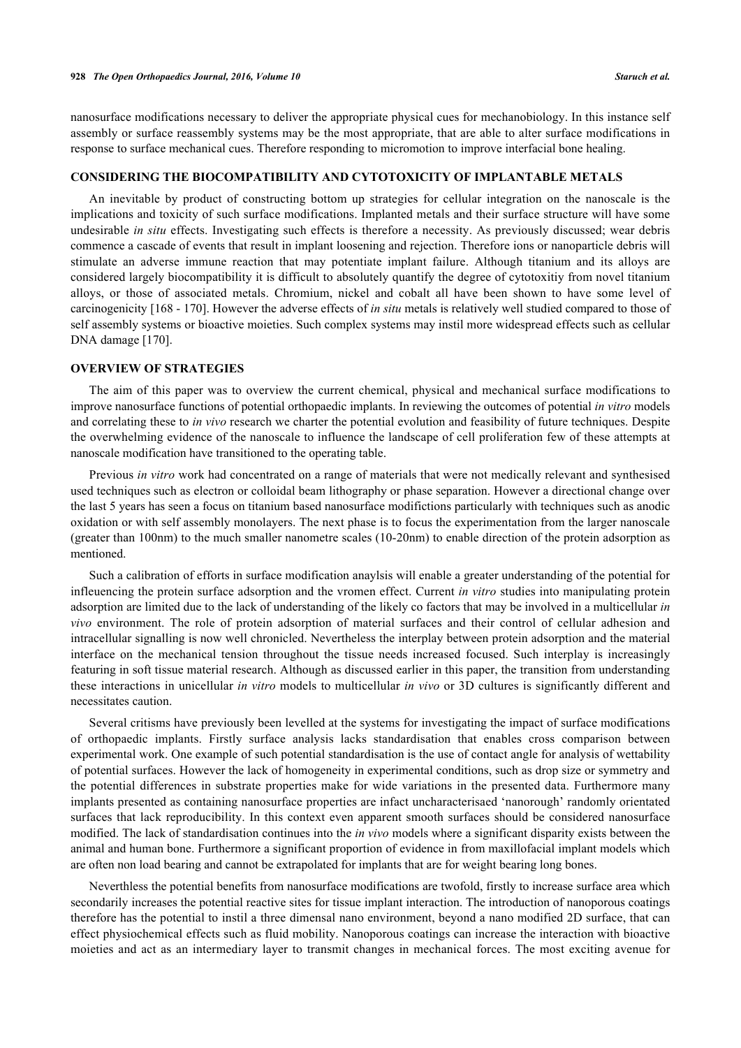nanosurface modifications necessary to deliver the appropriate physical cues for mechanobiology. In this instance self assembly or surface reassembly systems may be the most appropriate, that are able to alter surface modifications in response to surface mechanical cues. Therefore responding to micromotion to improve interfacial bone healing.

### **CONSIDERING THE BIOCOMPATIBILITY AND CYTOTOXICITY OF IMPLANTABLE METALS**

An inevitable by product of constructing bottom up strategies for cellular integration on the nanoscale is the implications and toxicity of such surface modifications. Implanted metals and their surface structure will have some undesirable *in situ* effects. Investigating such effects is therefore a necessity. As previously discussed; wear debris commence a cascade of events that result in implant loosening and rejection. Therefore ions or nanoparticle debris will stimulate an adverse immune reaction that may potentiate implant failure. Although titanium and its alloys are considered largely biocompatibility it is difficult to absolutely quantify the degree of cytotoxitiy from novel titanium alloys, or those of associated metals. Chromium, nickel and cobalt all have been shown to have some level of carcinogenicity [\[168](#page--1-0) - [170\]](#page--1-0). However the adverse effects of *in situ* metals is relatively well studied compared to those of self assembly systems or bioactive moieties. Such complex systems may instil more widespread effects such as cellular DNA damage [[170\]](#page--1-0).

## **OVERVIEW OF STRATEGIES**

The aim of this paper was to overview the current chemical, physical and mechanical surface modifications to improve nanosurface functions of potential orthopaedic implants. In reviewing the outcomes of potential *in vitro* models and correlating these to *in vivo* research we charter the potential evolution and feasibility of future techniques. Despite the overwhelming evidence of the nanoscale to influence the landscape of cell proliferation few of these attempts at nanoscale modification have transitioned to the operating table.

Previous *in vitro* work had concentrated on a range of materials that were not medically relevant and synthesised used techniques such as electron or colloidal beam lithography or phase separation. However a directional change over the last 5 years has seen a focus on titanium based nanosurface modifictions particularly with techniques such as anodic oxidation or with self assembly monolayers. The next phase is to focus the experimentation from the larger nanoscale (greater than 100nm) to the much smaller nanometre scales (10-20nm) to enable direction of the protein adsorption as mentioned.

Such a calibration of efforts in surface modification anaylsis will enable a greater understanding of the potential for infleuencing the protein surface adsorption and the vromen effect. Current *in vitro* studies into manipulating protein adsorption are limited due to the lack of understanding of the likely co factors that may be involved in a multicellular *in vivo* environment. The role of protein adsorption of material surfaces and their control of cellular adhesion and intracellular signalling is now well chronicled. Nevertheless the interplay between protein adsorption and the material interface on the mechanical tension throughout the tissue needs increased focused. Such interplay is increasingly featuring in soft tissue material research. Although as discussed earlier in this paper, the transition from understanding these interactions in unicellular *in vitro* models to multicellular *in vivo* or 3D cultures is significantly different and necessitates caution.

Several critisms have previously been levelled at the systems for investigating the impact of surface modifications of orthopaedic implants. Firstly surface analysis lacks standardisation that enables cross comparison between experimental work. One example of such potential standardisation is the use of contact angle for analysis of wettability of potential surfaces. However the lack of homogeneity in experimental conditions, such as drop size or symmetry and the potential differences in substrate properties make for wide variations in the presented data. Furthermore many implants presented as containing nanosurface properties are infact uncharacterisaed 'nanorough' randomly orientated surfaces that lack reproducibility. In this context even apparent smooth surfaces should be considered nanosurface modified. The lack of standardisation continues into the *in vivo* models where a significant disparity exists between the animal and human bone. Furthermore a significant proportion of evidence in from maxillofacial implant models which are often non load bearing and cannot be extrapolated for implants that are for weight bearing long bones.

Neverthless the potential benefits from nanosurface modifications are twofold, firstly to increase surface area which secondarily increases the potential reactive sites for tissue implant interaction. The introduction of nanoporous coatings therefore has the potential to instil a three dimensal nano environment, beyond a nano modified 2D surface, that can effect physiochemical effects such as fluid mobility. Nanoporous coatings can increase the interaction with bioactive moieties and act as an intermediary layer to transmit changes in mechanical forces. The most exciting avenue for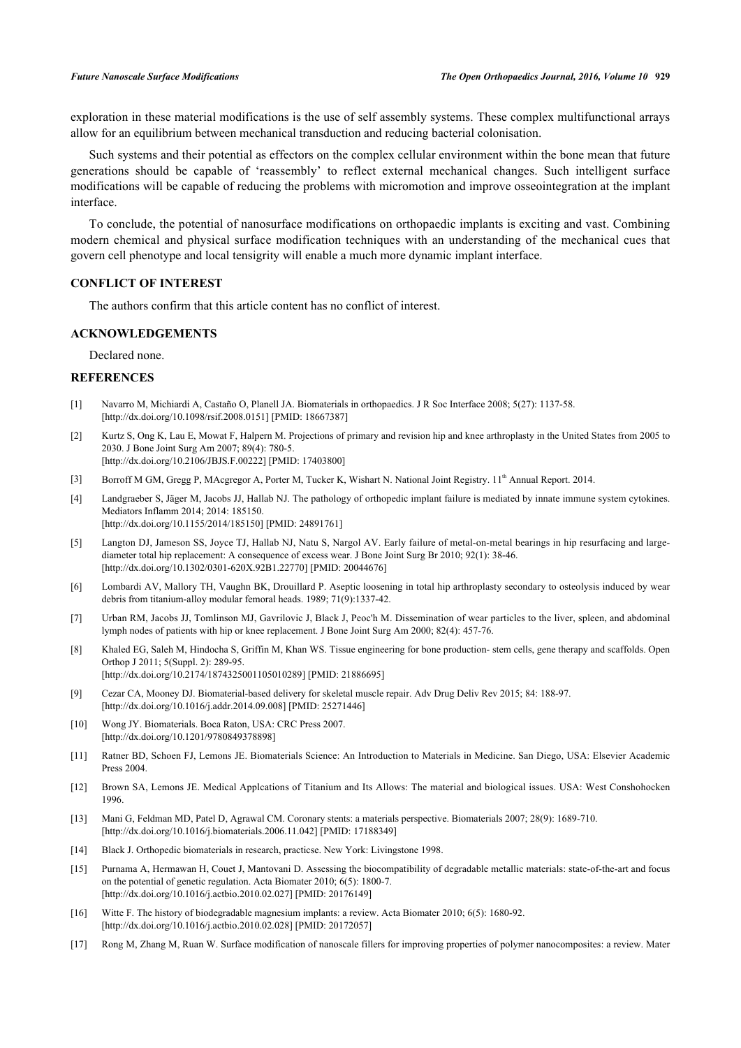exploration in these material modifications is the use of self assembly systems. These complex multifunctional arrays allow for an equilibrium between mechanical transduction and reducing bacterial colonisation.

Such systems and their potential as effectors on the complex cellular environment within the bone mean that future generations should be capable of 'reassembly' to reflect external mechanical changes. Such intelligent surface modifications will be capable of reducing the problems with micromotion and improve osseointegration at the implant interface.

To conclude, the potential of nanosurface modifications on orthopaedic implants is exciting and vast. Combining modern chemical and physical surface modification techniques with an understanding of the mechanical cues that govern cell phenotype and local tensigrity will enable a much more dynamic implant interface.

# **CONFLICT OF INTEREST**

The authors confirm that this article content has no conflict of interest.

# **ACKNOWLEDGEMENTS**

Declared none.

### **REFERENCES**

- [1] Navarro M, Michiardi A, Castaño O, Planell JA. Biomaterials in orthopaedics. J R Soc Interface 2008; 5(27): 1137-58. [\[http://dx.doi.org/10.1098/rsif.2008.0151](http://dx.doi.org/10.1098/rsif.2008.0151)] [PMID: [18667387](http://www.ncbi.nlm.nih.gov/pubmed/18667387)]
- [2] Kurtz S, Ong K, Lau E, Mowat F, Halpern M. Projections of primary and revision hip and knee arthroplasty in the United States from 2005 to 2030. J Bone Joint Surg Am 2007; 89(4): 780-5. [\[http://dx.doi.org/10.2106/JBJS.F.00222](http://dx.doi.org/10.2106/JBJS.F.00222)] [PMID: [17403800\]](http://www.ncbi.nlm.nih.gov/pubmed/17403800)
- [3] Borroff M GM, Gregg P, MAcgregor A, Porter M, Tucker K, Wishart N. National Joint Registry. 11<sup>th</sup> Annual Report. 2014.
- [4] Landgraeber S, Jäger M, Jacobs JJ, Hallab NJ. The pathology of orthopedic implant failure is mediated by innate immune system cytokines. Mediators Inflamm 2014; 2014: 185150.
- [\[http://dx.doi.org/10.1155/2014/185150](http://dx.doi.org/10.1155/2014/185150)] [PMID: [24891761\]](http://www.ncbi.nlm.nih.gov/pubmed/24891761)
- [5] Langton DJ, Jameson SS, Joyce TJ, Hallab NJ, Natu S, Nargol AV. Early failure of metal-on-metal bearings in hip resurfacing and largediameter total hip replacement: A consequence of excess wear. J Bone Joint Surg Br 2010; 92(1): 38-46. [\[http://dx.doi.org/10.1302/0301-620X.92B1.22770\]](http://dx.doi.org/10.1302/0301-620X.92B1.22770) [PMID: [20044676](http://www.ncbi.nlm.nih.gov/pubmed/20044676)]
- [6] Lombardi AV, Mallory TH, Vaughn BK, Drouillard P. Aseptic loosening in total hip arthroplasty secondary to osteolysis induced by wear debris from titanium-alloy modular femoral heads. 1989; 71(9):1337-42.
- [7] Urban RM, Jacobs JJ, Tomlinson MJ, Gavrilovic J, Black J, Peoc'h M. Dissemination of wear particles to the liver, spleen, and abdominal lymph nodes of patients with hip or knee replacement. J Bone Joint Surg Am 2000; 82(4): 457-76.
- [8] Khaled EG, Saleh M, Hindocha S, Griffin M, Khan WS. Tissue engineering for bone production- stem cells, gene therapy and scaffolds. Open Orthop J 2011; 5(Suppl. 2): 289-95. [\[http://dx.doi.org/10.2174/1874325001105010289\]](http://dx.doi.org/10.2174/1874325001105010289) [PMID: [21886695](http://www.ncbi.nlm.nih.gov/pubmed/21886695)]
- [9] Cezar CA, Mooney DJ. Biomaterial-based delivery for skeletal muscle repair. Adv Drug Deliv Rev 2015; 84: 188-97. [\[http://dx.doi.org/10.1016/j.addr.2014.09.008](http://dx.doi.org/10.1016/j.addr.2014.09.008)] [PMID: [25271446\]](http://www.ncbi.nlm.nih.gov/pubmed/25271446)
- [10] Wong JY. Biomaterials. Boca Raton, USA: CRC Press 2007. [\[http://dx.doi.org/10.1201/9780849378898\]](http://dx.doi.org/10.1201/9780849378898)
- [11] Ratner BD, Schoen FJ, Lemons JE. Biomaterials Science: An Introduction to Materials in Medicine. San Diego, USA: Elsevier Academic Press 2004.
- [12] Brown SA, Lemons JE. Medical Applcations of Titanium and Its Allows: The material and biological issues. USA: West Conshohocken 1996.
- [13] Mani G, Feldman MD, Patel D, Agrawal CM. Coronary stents: a materials perspective. Biomaterials 2007; 28(9): 1689-710. [\[http://dx.doi.org/10.1016/j.biomaterials.2006.11.042\]](http://dx.doi.org/10.1016/j.biomaterials.2006.11.042) [PMID: [17188349](http://www.ncbi.nlm.nih.gov/pubmed/17188349)]
- [14] Black J. Orthopedic biomaterials in research, practicse. New York: Livingstone 1998.
- [15] Purnama A, Hermawan H, Couet J, Mantovani D. Assessing the biocompatibility of degradable metallic materials: state-of-the-art and focus on the potential of genetic regulation. Acta Biomater 2010; 6(5): 1800-7. [\[http://dx.doi.org/10.1016/j.actbio.2010.02.027\]](http://dx.doi.org/10.1016/j.actbio.2010.02.027) [PMID: [20176149](http://www.ncbi.nlm.nih.gov/pubmed/20176149)]
- [16] Witte F. The history of biodegradable magnesium implants: a review. Acta Biomater 2010; 6(5): 1680-92. [\[http://dx.doi.org/10.1016/j.actbio.2010.02.028\]](http://dx.doi.org/10.1016/j.actbio.2010.02.028) [PMID: [20172057](http://www.ncbi.nlm.nih.gov/pubmed/20172057)]
- [17] Rong M, Zhang M, Ruan W. Surface modification of nanoscale fillers for improving properties of polymer nanocomposites: a review. Mater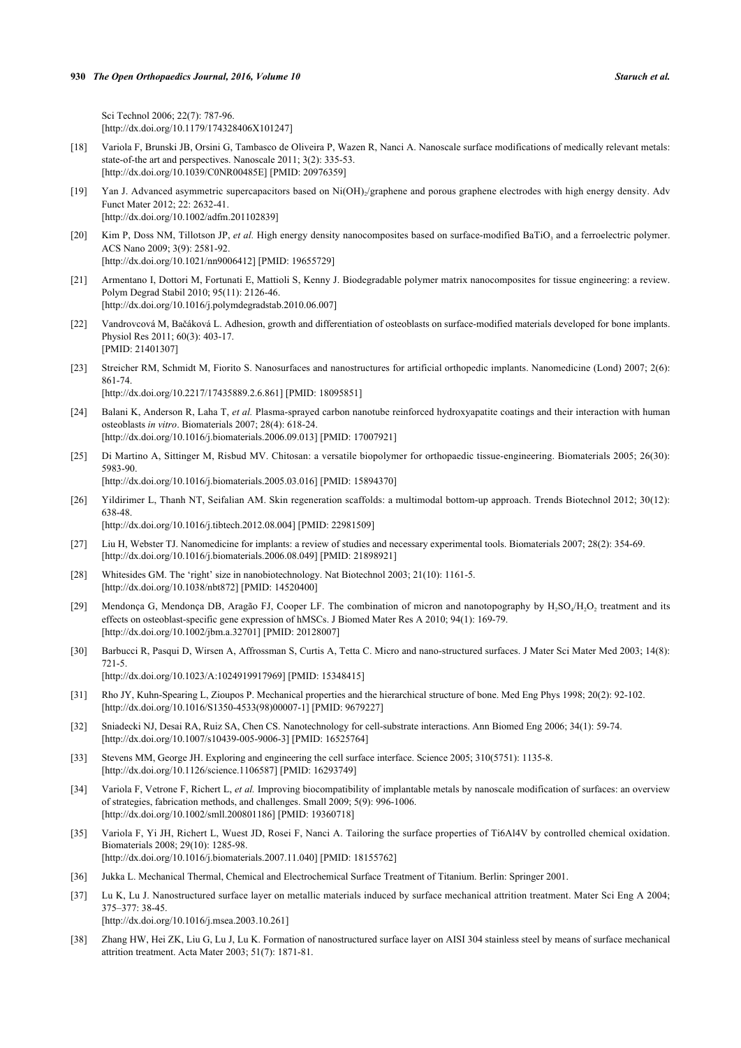Sci Technol 2006; 22(7): 787-96. [\[http://dx.doi.org/10.1179/174328406X101247\]](http://dx.doi.org/10.1179/174328406X101247)

- [18] Variola F, Brunski JB, Orsini G, Tambasco de Oliveira P, Wazen R, Nanci A. Nanoscale surface modifications of medically relevant metals: state-of-the art and perspectives. Nanoscale 2011; 3(2): 335-53. [\[http://dx.doi.org/10.1039/C0NR00485E](http://dx.doi.org/10.1039/C0NR00485E)] [PMID: [20976359\]](http://www.ncbi.nlm.nih.gov/pubmed/20976359)
- [19] Yan J. Advanced asymmetric supercapacitors based on Ni(OH)<sub>2</sub>/graphene and porous graphene electrodes with high energy density. Adv Funct Mater 2012; 22: 2632-41. [\[http://dx.doi.org/10.1002/adfm.201102839](http://dx.doi.org/10.1002/adfm.201102839)]
- [20] Kim P, Doss NM, Tillotson JP, et al. High energy density nanocomposites based on surface-modified BaTiO<sub>3</sub> and a ferroelectric polymer. ACS Nano 2009; 3(9): 2581-92. [\[http://dx.doi.org/10.1021/nn9006412\]](http://dx.doi.org/10.1021/nn9006412) [PMID: [19655729](http://www.ncbi.nlm.nih.gov/pubmed/19655729)]
- [21] Armentano I, Dottori M, Fortunati E, Mattioli S, Kenny J. Biodegradable polymer matrix nanocomposites for tissue engineering: a review. Polym Degrad Stabil 2010; 95(11): 2126-46. [\[http://dx.doi.org/10.1016/j.polymdegradstab.2010.06.007](http://dx.doi.org/10.1016/j.polymdegradstab.2010.06.007)]
- [22] Vandrovcová M, Bačáková L. Adhesion, growth and differentiation of osteoblasts on surface-modified materials developed for bone implants. Physiol Res 2011; 60(3): 403-17. [PMID: [21401307\]](http://www.ncbi.nlm.nih.gov/pubmed/21401307)
- [23] Streicher RM, Schmidt M, Fiorito S. Nanosurfaces and nanostructures for artificial orthopedic implants. Nanomedicine (Lond) 2007; 2(6): 861-74.

[\[http://dx.doi.org/10.2217/17435889.2.6.861\]](http://dx.doi.org/10.2217/17435889.2.6.861) [PMID: [18095851](http://www.ncbi.nlm.nih.gov/pubmed/18095851)]

- [24] Balani K, Anderson R, Laha T, et al. Plasma-sprayed carbon nanotube reinforced hydroxyapatite coatings and their interaction with human osteoblasts *in vitro*. Biomaterials 2007; 28(4): 618-24. [\[http://dx.doi.org/10.1016/j.biomaterials.2006.09.013\]](http://dx.doi.org/10.1016/j.biomaterials.2006.09.013) [PMID: [17007921](http://www.ncbi.nlm.nih.gov/pubmed/17007921)]
- [25] Di Martino A, Sittinger M, Risbud MV. Chitosan: a versatile biopolymer for orthopaedic tissue-engineering. Biomaterials 2005; 26(30): 5983-90.

[\[http://dx.doi.org/10.1016/j.biomaterials.2005.03.016\]](http://dx.doi.org/10.1016/j.biomaterials.2005.03.016) [PMID: [15894370](http://www.ncbi.nlm.nih.gov/pubmed/15894370)]

[26] Yildirimer L, Thanh NT, Seifalian AM. Skin regeneration scaffolds: a multimodal bottom-up approach. Trends Biotechnol 2012; 30(12): 638-48.

[\[http://dx.doi.org/10.1016/j.tibtech.2012.08.004\]](http://dx.doi.org/10.1016/j.tibtech.2012.08.004) [PMID: [22981509](http://www.ncbi.nlm.nih.gov/pubmed/22981509)]

- [27] Liu H, Webster TJ. Nanomedicine for implants: a review of studies and necessary experimental tools. Biomaterials 2007; 28(2): 354-69. [\[http://dx.doi.org/10.1016/j.biomaterials.2006.08.049\]](http://dx.doi.org/10.1016/j.biomaterials.2006.08.049) [PMID: [21898921](http://www.ncbi.nlm.nih.gov/pubmed/21898921)]
- [28] Whitesides GM. The 'right' size in nanobiotechnology. Nat Biotechnol 2003; 21(10): 1161-5. [\[http://dx.doi.org/10.1038/nbt872](http://dx.doi.org/10.1038/nbt872)] [PMID: [14520400\]](http://www.ncbi.nlm.nih.gov/pubmed/14520400)
- [29] Mendonça G, Mendonça DB, Aragão FJ, Cooper LF. The combination of micron and nanotopography by  $H_2SO_4/H_2O_2$  treatment and its effects on osteoblast-specific gene expression of hMSCs. J Biomed Mater Res A 2010; 94(1): 169-79. [\[http://dx.doi.org/10.1002/jbm.a.32701\]](http://dx.doi.org/10.1002/jbm.a.32701) [PMID: [20128007](http://www.ncbi.nlm.nih.gov/pubmed/20128007)]
- [30] Barbucci R, Pasqui D, Wirsen A, Affrossman S, Curtis A, Tetta C. Micro and nano-structured surfaces. J Mater Sci Mater Med 2003; 14(8): 721-5.

[\[http://dx.doi.org/10.1023/A:1024919917969\]](http://dx.doi.org/10.1023/A:1024919917969) [PMID: [15348415](http://www.ncbi.nlm.nih.gov/pubmed/15348415)]

- [31] Rho JY, Kuhn-Spearing L, Zioupos P. Mechanical properties and the hierarchical structure of bone. Med Eng Phys 1998; 20(2): 92-102. [\[http://dx.doi.org/10.1016/S1350-4533\(98\)00007-1\]](http://dx.doi.org/10.1016/S1350-4533(98)00007-1) [PMID: [9679227](http://www.ncbi.nlm.nih.gov/pubmed/9679227)]
- [32] Sniadecki NJ, Desai RA, Ruiz SA, Chen CS. Nanotechnology for cell-substrate interactions. Ann Biomed Eng 2006; 34(1): 59-74. [\[http://dx.doi.org/10.1007/s10439-005-9006-3\]](http://dx.doi.org/10.1007/s10439-005-9006-3) [PMID: [16525764](http://www.ncbi.nlm.nih.gov/pubmed/16525764)]
- [33] Stevens MM, George JH. Exploring and engineering the cell surface interface. Science 2005; 310(5751): 1135-8. [\[http://dx.doi.org/10.1126/science.1106587](http://dx.doi.org/10.1126/science.1106587)] [PMID: [16293749\]](http://www.ncbi.nlm.nih.gov/pubmed/16293749)
- [34] Variola F, Vetrone F, Richert L, *et al.* Improving biocompatibility of implantable metals by nanoscale modification of surfaces: an overview of strategies, fabrication methods, and challenges. Small 2009; 5(9): 996-1006. [\[http://dx.doi.org/10.1002/smll.200801186\]](http://dx.doi.org/10.1002/smll.200801186) [PMID: [19360718](http://www.ncbi.nlm.nih.gov/pubmed/19360718)]
- [35] Variola F, Yi JH, Richert L, Wuest JD, Rosei F, Nanci A. Tailoring the surface properties of Ti6Al4V by controlled chemical oxidation. Biomaterials 2008; 29(10): 1285-98. [\[http://dx.doi.org/10.1016/j.biomaterials.2007.11.040\]](http://dx.doi.org/10.1016/j.biomaterials.2007.11.040) [PMID: [18155762](http://www.ncbi.nlm.nih.gov/pubmed/18155762)]
- [36] Jukka L. Mechanical Thermal, Chemical and Electrochemical Surface Treatment of Titanium. Berlin: Springer 2001.
- [37] Lu K, Lu J. Nanostructured surface layer on metallic materials induced by surface mechanical attrition treatment. Mater Sci Eng A 2004; 375–377: 38-45. [\[http://dx.doi.org/10.1016/j.msea.2003.10.261](http://dx.doi.org/10.1016/j.msea.2003.10.261)]
- [38] Zhang HW, Hei ZK, Liu G, Lu J, Lu K. Formation of nanostructured surface layer on AISI 304 stainless steel by means of surface mechanical attrition treatment. Acta Mater 2003; 51(7): 1871-81.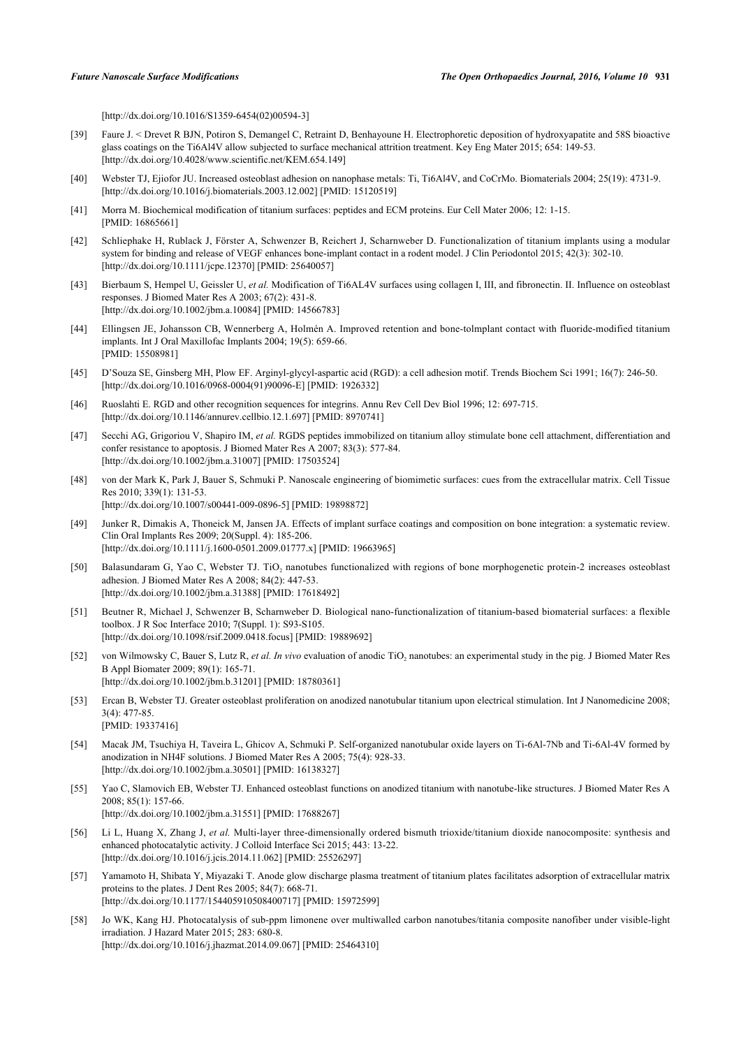[\[http://dx.doi.org/10.1016/S1359-6454\(02\)00594-3\]](http://dx.doi.org/10.1016/S1359-6454(02)00594-3)

- [39] Faure J. < Drevet R BJN, Potiron S, Demangel C, Retraint D, Benhayoune H. Electrophoretic deposition of hydroxyapatite and 58S bioactive glass coatings on the Ti6Al4V allow subjected to surface mechanical attrition treatment. Key Eng Mater 2015; 654: 149-53. [\[http://dx.doi.org/10.4028/www.scientific.net/KEM.654.149](http://dx.doi.org/10.4028/www.scientific.net/KEM.654.149)]
- [40] Webster TJ, Ejiofor JU. Increased osteoblast adhesion on nanophase metals: Ti, Ti6Al4V, and CoCrMo. Biomaterials 2004; 25(19): 4731-9. [\[http://dx.doi.org/10.1016/j.biomaterials.2003.12.002\]](http://dx.doi.org/10.1016/j.biomaterials.2003.12.002) [PMID: [15120519](http://www.ncbi.nlm.nih.gov/pubmed/15120519)]
- [41] Morra M. Biochemical modification of titanium surfaces: peptides and ECM proteins. Eur Cell Mater 2006; 12: 1-15. [PMID: [16865661\]](http://www.ncbi.nlm.nih.gov/pubmed/16865661)
- [42] Schliephake H, Rublack J, Förster A, Schwenzer B, Reichert J, Scharnweber D. Functionalization of titanium implants using a modular system for binding and release of VEGF enhances bone-implant contact in a rodent model. J Clin Periodontol 2015; 42(3): 302-10. [\[http://dx.doi.org/10.1111/jcpe.12370](http://dx.doi.org/10.1111/jcpe.12370)] [PMID: [25640057\]](http://www.ncbi.nlm.nih.gov/pubmed/25640057)
- [43] Bierbaum S, Hempel U, Geissler U, *et al.* Modification of Ti6AL4V surfaces using collagen I, III, and fibronectin. II. Influence on osteoblast responses. J Biomed Mater Res A 2003; 67(2): 431-8. [\[http://dx.doi.org/10.1002/jbm.a.10084\]](http://dx.doi.org/10.1002/jbm.a.10084) [PMID: [14566783](http://www.ncbi.nlm.nih.gov/pubmed/14566783)]
- [44] Ellingsen JE, Johansson CB, Wennerberg A, Holmén A. Improved retention and bone-tolmplant contact with fluoride-modified titanium implants. Int J Oral Maxillofac Implants 2004; 19(5): 659-66. [PMID: [15508981\]](http://www.ncbi.nlm.nih.gov/pubmed/15508981)
- [45] D'Souza SE, Ginsberg MH, Plow EF. Arginyl-glycyl-aspartic acid (RGD): a cell adhesion motif. Trends Biochem Sci 1991; 16(7): 246-50. [\[http://dx.doi.org/10.1016/0968-0004\(91\)90096-E](http://dx.doi.org/10.1016/0968-0004(91)90096-E)] [PMID: [1926332\]](http://www.ncbi.nlm.nih.gov/pubmed/1926332)
- [46] Ruoslahti E. RGD and other recognition sequences for integrins. Annu Rev Cell Dev Biol 1996; 12: 697-715. [\[http://dx.doi.org/10.1146/annurev.cellbio.12.1.697](http://dx.doi.org/10.1146/annurev.cellbio.12.1.697)] [PMID: [8970741\]](http://www.ncbi.nlm.nih.gov/pubmed/8970741)
- [47] Secchi AG, Grigoriou V, Shapiro IM, *et al.* RGDS peptides immobilized on titanium alloy stimulate bone cell attachment, differentiation and confer resistance to apoptosis. J Biomed Mater Res A 2007; 83(3): 577-84. [\[http://dx.doi.org/10.1002/jbm.a.31007\]](http://dx.doi.org/10.1002/jbm.a.31007) [PMID: [17503524](http://www.ncbi.nlm.nih.gov/pubmed/17503524)]
- [48] von der Mark K, Park J, Bauer S, Schmuki P. Nanoscale engineering of biomimetic surfaces: cues from the extracellular matrix. Cell Tissue Res 2010; 339(1): 131-53. [\[http://dx.doi.org/10.1007/s00441-009-0896-5\]](http://dx.doi.org/10.1007/s00441-009-0896-5) [PMID: [19898872](http://www.ncbi.nlm.nih.gov/pubmed/19898872)]
- [49] Junker R, Dimakis A, Thoneick M, Jansen JA. Effects of implant surface coatings and composition on bone integration: a systematic review. Clin Oral Implants Res 2009; 20(Suppl. 4): 185-206. [\[http://dx.doi.org/10.1111/j.1600-0501.2009.01777.x\]](http://dx.doi.org/10.1111/j.1600-0501.2009.01777.x) [PMID: [19663965](http://www.ncbi.nlm.nih.gov/pubmed/19663965)]
- [50] Balasundaram G, Yao C, Webster TJ. TiO<sub>2</sub> nanotubes functionalized with regions of bone morphogenetic protein-2 increases osteoblast adhesion. J Biomed Mater Res A 2008; 84(2): 447-53. [\[http://dx.doi.org/10.1002/jbm.a.31388\]](http://dx.doi.org/10.1002/jbm.a.31388) [PMID: [17618492](http://www.ncbi.nlm.nih.gov/pubmed/17618492)]
- [51] Beutner R, Michael J, Schwenzer B, Scharnweber D. Biological nano-functionalization of titanium-based biomaterial surfaces: a flexible toolbox. J R Soc Interface 2010; 7(Suppl. 1): S93-S105. [\[http://dx.doi.org/10.1098/rsif.2009.0418.focus\]](http://dx.doi.org/10.1098/rsif.2009.0418.focus) [PMID: [19889692](http://www.ncbi.nlm.nih.gov/pubmed/19889692)]
- [52] von Wilmowsky C, Bauer S, Lutz R, et al. In vivo evaluation of anodic TiO<sub>2</sub> nanotubes: an experimental study in the pig. J Biomed Mater Res B Appl Biomater 2009; 89(1): 165-71. [\[http://dx.doi.org/10.1002/jbm.b.31201](http://dx.doi.org/10.1002/jbm.b.31201)] [PMID: [18780361\]](http://www.ncbi.nlm.nih.gov/pubmed/18780361)
- [53] Ercan B, Webster TJ. Greater osteoblast proliferation on anodized nanotubular titanium upon electrical stimulation. Int J Nanomedicine 2008; 3(4): 477-85. [PMID: [19337416\]](http://www.ncbi.nlm.nih.gov/pubmed/19337416)
- [54] Macak JM, Tsuchiya H, Taveira L, Ghicov A, Schmuki P. Self-organized nanotubular oxide layers on Ti-6Al-7Nb and Ti-6Al-4V formed by anodization in NH4F solutions. J Biomed Mater Res A 2005; 75(4): 928-33. [\[http://dx.doi.org/10.1002/jbm.a.30501\]](http://dx.doi.org/10.1002/jbm.a.30501) [PMID: [16138327](http://www.ncbi.nlm.nih.gov/pubmed/16138327)]
- [55] Yao C, Slamovich EB, Webster TJ. Enhanced osteoblast functions on anodized titanium with nanotube-like structures. J Biomed Mater Res A 2008; 85(1): 157-66. [\[http://dx.doi.org/10.1002/jbm.a.31551\]](http://dx.doi.org/10.1002/jbm.a.31551) [PMID: [17688267](http://www.ncbi.nlm.nih.gov/pubmed/17688267)]
- [56] Li L, Huang X, Zhang J, *et al.* Multi-layer three-dimensionally ordered bismuth trioxide/titanium dioxide nanocomposite: synthesis and enhanced photocatalytic activity. J Colloid Interface Sci 2015; 443: 13-22. [\[http://dx.doi.org/10.1016/j.jcis.2014.11.062](http://dx.doi.org/10.1016/j.jcis.2014.11.062)] [PMID: [25526297\]](http://www.ncbi.nlm.nih.gov/pubmed/25526297)
- [57] Yamamoto H, Shibata Y, Miyazaki T. Anode glow discharge plasma treatment of titanium plates facilitates adsorption of extracellular matrix proteins to the plates. J Dent Res 2005; 84(7): 668-71. [\[http://dx.doi.org/10.1177/154405910508400717\]](http://dx.doi.org/10.1177/154405910508400717) [PMID: [15972599](http://www.ncbi.nlm.nih.gov/pubmed/15972599)]
- [58] Jo WK, Kang HJ. Photocatalysis of sub-ppm limonene over multiwalled carbon nanotubes/titania composite nanofiber under visible-light irradiation. J Hazard Mater 2015; 283: 680-8. [\[http://dx.doi.org/10.1016/j.jhazmat.2014.09.067](http://dx.doi.org/10.1016/j.jhazmat.2014.09.067)] [PMID: [25464310\]](http://www.ncbi.nlm.nih.gov/pubmed/25464310)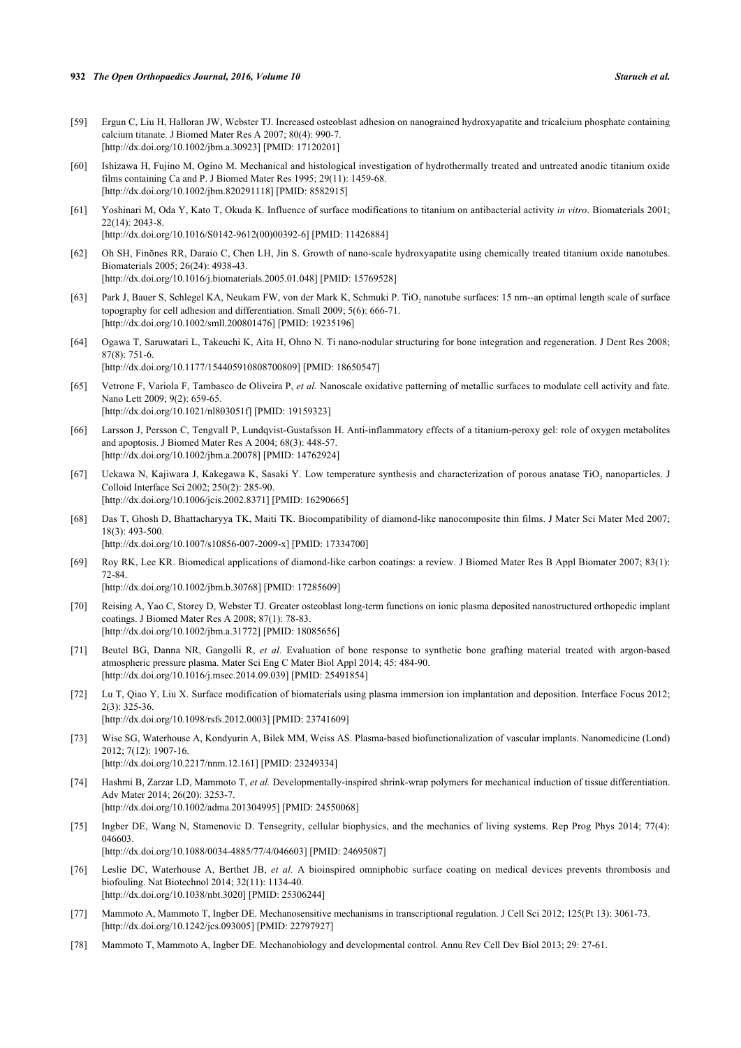- [59] Ergun C, Liu H, Halloran JW, Webster TJ. Increased osteoblast adhesion on nanograined hydroxyapatite and tricalcium phosphate containing calcium titanate. J Biomed Mater Res A 2007; 80(4): 990-7. [\[http://dx.doi.org/10.1002/jbm.a.30923\]](http://dx.doi.org/10.1002/jbm.a.30923) [PMID: [17120201](http://www.ncbi.nlm.nih.gov/pubmed/17120201)]
- [60] Ishizawa H, Fujino M, Ogino M. Mechanical and histological investigation of hydrothermally treated and untreated anodic titanium oxide films containing Ca and P. J Biomed Mater Res 1995; 29(11): 1459-68. [\[http://dx.doi.org/10.1002/jbm.820291118](http://dx.doi.org/10.1002/jbm.820291118)] [PMID: [8582915\]](http://www.ncbi.nlm.nih.gov/pubmed/8582915)
- [61] Yoshinari M, Oda Y, Kato T, Okuda K. Influence of surface modifications to titanium on antibacterial activity *in vitro*. Biomaterials 2001; 22(14): 2043-8. [\[http://dx.doi.org/10.1016/S0142-9612\(00\)00392-6\]](http://dx.doi.org/10.1016/S0142-9612(00)00392-6) [PMID: [11426884](http://www.ncbi.nlm.nih.gov/pubmed/11426884)]
- [62] Oh SH, Finõnes RR, Daraio C, Chen LH, Jin S. Growth of nano-scale hydroxyapatite using chemically treated titanium oxide nanotubes. Biomaterials 2005; 26(24): 4938-43. [\[http://dx.doi.org/10.1016/j.biomaterials.2005.01.048\]](http://dx.doi.org/10.1016/j.biomaterials.2005.01.048) [PMID: [15769528](http://www.ncbi.nlm.nih.gov/pubmed/15769528)]
- [63] Park J, Bauer S, Schlegel KA, Neukam FW, von der Mark K, Schmuki P. TiO<sub>2</sub> nanotube surfaces: 15 nm--an optimal length scale of surface topography for cell adhesion and differentiation. Small 2009; 5(6): 666-71. [\[http://dx.doi.org/10.1002/smll.200801476\]](http://dx.doi.org/10.1002/smll.200801476) [PMID: [19235196](http://www.ncbi.nlm.nih.gov/pubmed/19235196)]
- [64] Ogawa T, Saruwatari L, Takeuchi K, Aita H, Ohno N. Ti nano-nodular structuring for bone integration and regeneration. J Dent Res 2008; 87(8): 751-6. [\[http://dx.doi.org/10.1177/154405910808700809\]](http://dx.doi.org/10.1177/154405910808700809) [PMID: [18650547](http://www.ncbi.nlm.nih.gov/pubmed/18650547)]
- [65] Vetrone F, Variola F, Tambasco de Oliveira P, *et al.* Nanoscale oxidative patterning of metallic surfaces to modulate cell activity and fate. Nano Lett 2009; 9(2): 659-65. [\[http://dx.doi.org/10.1021/nl803051f\]](http://dx.doi.org/10.1021/nl803051f) [PMID: [19159323](http://www.ncbi.nlm.nih.gov/pubmed/19159323)]
- [66] Larsson J, Persson C, Tengvall P, Lundqvist-Gustafsson H. Anti-inflammatory effects of a titanium-peroxy gel: role of oxygen metabolites and apoptosis. J Biomed Mater Res A 2004; 68(3): 448-57. [\[http://dx.doi.org/10.1002/jbm.a.20078\]](http://dx.doi.org/10.1002/jbm.a.20078) [PMID: [14762924](http://www.ncbi.nlm.nih.gov/pubmed/14762924)]
- [67] Uekawa N, Kajiwara J, Kakegawa K, Sasaki Y. Low temperature synthesis and characterization of porous anatase TiO<sub>2</sub> nanoparticles. J Colloid Interface Sci 2002; 250(2): 285-90. [\[http://dx.doi.org/10.1006/jcis.2002.8371\]](http://dx.doi.org/10.1006/jcis.2002.8371) [PMID: [16290665](http://www.ncbi.nlm.nih.gov/pubmed/16290665)]
- [68] Das T, Ghosh D, Bhattacharyya TK, Maiti TK. Biocompatibility of diamond-like nanocomposite thin films. J Mater Sci Mater Med 2007; 18(3): 493-500. [\[http://dx.doi.org/10.1007/s10856-007-2009-x\]](http://dx.doi.org/10.1007/s10856-007-2009-x) [PMID: [17334700](http://www.ncbi.nlm.nih.gov/pubmed/17334700)]
- [69] Roy RK, Lee KR. Biomedical applications of diamond-like carbon coatings: a review. J Biomed Mater Res B Appl Biomater 2007; 83(1): 72-84. [\[http://dx.doi.org/10.1002/jbm.b.30768](http://dx.doi.org/10.1002/jbm.b.30768)] [PMID: [17285609\]](http://www.ncbi.nlm.nih.gov/pubmed/17285609)
- [70] Reising A, Yao C, Storey D, Webster TJ. Greater osteoblast long-term functions on ionic plasma deposited nanostructured orthopedic implant coatings. J Biomed Mater Res A 2008; 87(1): 78-83. [\[http://dx.doi.org/10.1002/jbm.a.31772\]](http://dx.doi.org/10.1002/jbm.a.31772) [PMID: [18085656](http://www.ncbi.nlm.nih.gov/pubmed/18085656)]
- [71] Beutel BG, Danna NR, Gangolli R, *et al.* Evaluation of bone response to synthetic bone grafting material treated with argon-based atmospheric pressure plasma. Mater Sci Eng C Mater Biol Appl 2014; 45: 484-90. [\[http://dx.doi.org/10.1016/j.msec.2014.09.039](http://dx.doi.org/10.1016/j.msec.2014.09.039)] [PMID: [25491854](http://www.ncbi.nlm.nih.gov/pubmed/25491854)]
- [72] Lu T, Qiao Y, Liu X. Surface modification of biomaterials using plasma immersion ion implantation and deposition. Interface Focus 2012; 2(3): 325-36. [\[http://dx.doi.org/10.1098/rsfs.2012.0003](http://dx.doi.org/10.1098/rsfs.2012.0003)] [PMID: [23741609\]](http://www.ncbi.nlm.nih.gov/pubmed/23741609)
- [73] Wise SG, Waterhouse A, Kondyurin A, Bilek MM, Weiss AS. Plasma-based biofunctionalization of vascular implants. Nanomedicine (Lond) 2012; 7(12): 1907-16.
- [\[http://dx.doi.org/10.2217/nnm.12.161](http://dx.doi.org/10.2217/nnm.12.161)] [PMID: [23249334\]](http://www.ncbi.nlm.nih.gov/pubmed/23249334)
- [74] Hashmi B, Zarzar LD, Mammoto T, *et al.* Developmentally-inspired shrink-wrap polymers for mechanical induction of tissue differentiation. Adv Mater 2014; 26(20): 3253-7. [\[http://dx.doi.org/10.1002/adma.201304995](http://dx.doi.org/10.1002/adma.201304995)] [PMID: [24550068\]](http://www.ncbi.nlm.nih.gov/pubmed/24550068)
- [75] Ingber DE, Wang N, Stamenovic D. Tensegrity, cellular biophysics, and the mechanics of living systems. Rep Prog Phys 2014; 77(4): 046603.

[\[http://dx.doi.org/10.1088/0034-4885/77/4/046603](http://dx.doi.org/10.1088/0034-4885/77/4/046603)] [PMID: [24695087\]](http://www.ncbi.nlm.nih.gov/pubmed/24695087)

- [76] Leslie DC, Waterhouse A, Berthet JB, *et al.* A bioinspired omniphobic surface coating on medical devices prevents thrombosis and biofouling. Nat Biotechnol 2014; 32(11): 1134-40. [\[http://dx.doi.org/10.1038/nbt.3020](http://dx.doi.org/10.1038/nbt.3020)] [PMID: [25306244\]](http://www.ncbi.nlm.nih.gov/pubmed/25306244)
- [77] Mammoto A, Mammoto T, Ingber DE. Mechanosensitive mechanisms in transcriptional regulation. J Cell Sci 2012; 125(Pt 13): 3061-73. [\[http://dx.doi.org/10.1242/jcs.093005\]](http://dx.doi.org/10.1242/jcs.093005) [PMID: [22797927](http://www.ncbi.nlm.nih.gov/pubmed/22797927)]
- [78] Mammoto T, Mammoto A, Ingber DE. Mechanobiology and developmental control. Annu Rev Cell Dev Biol 2013; 29: 27-61.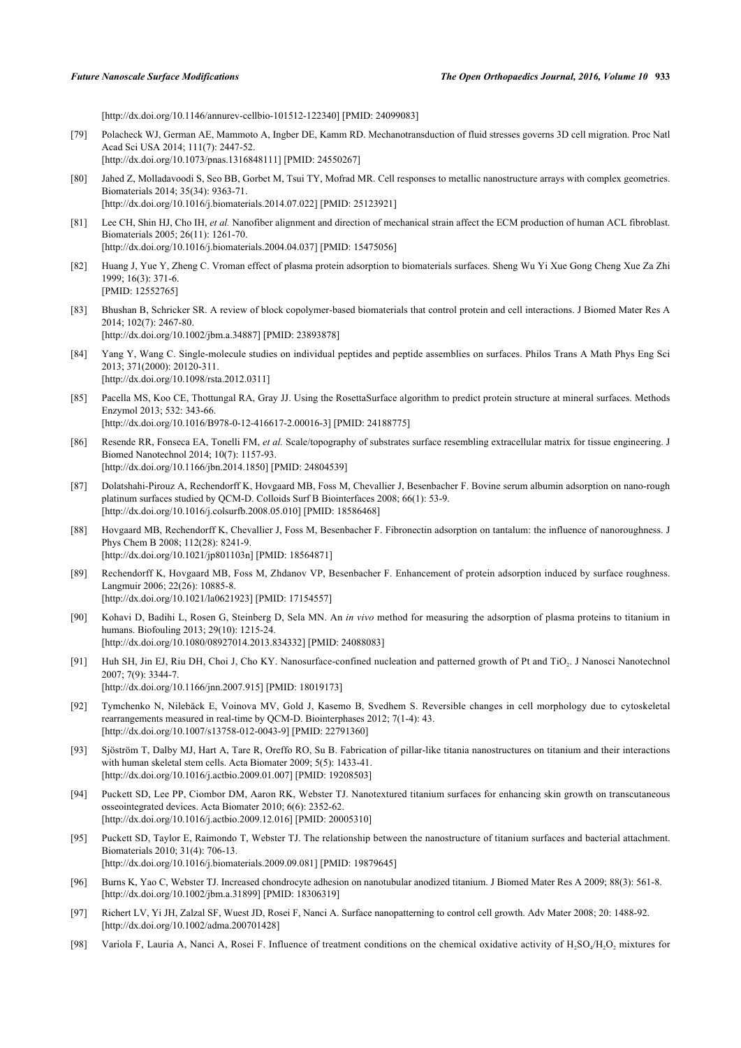[\[http://dx.doi.org/10.1146/annurev-cellbio-101512-122340](http://dx.doi.org/10.1146/annurev-cellbio-101512-122340)] [PMID: [24099083\]](http://www.ncbi.nlm.nih.gov/pubmed/24099083)

- [79] Polacheck WJ, German AE, Mammoto A, Ingber DE, Kamm RD. Mechanotransduction of fluid stresses governs 3D cell migration. Proc Natl Acad Sci USA 2014; 111(7): 2447-52. [\[http://dx.doi.org/10.1073/pnas.1316848111](http://dx.doi.org/10.1073/pnas.1316848111)] [PMID: [24550267](http://www.ncbi.nlm.nih.gov/pubmed/24550267)]
- [80] Jahed Z, Molladavoodi S, Seo BB, Gorbet M, Tsui TY, Mofrad MR. Cell responses to metallic nanostructure arrays with complex geometries. Biomaterials 2014; 35(34): 9363-71. [\[http://dx.doi.org/10.1016/j.biomaterials.2014.07.022\]](http://dx.doi.org/10.1016/j.biomaterials.2014.07.022) [PMID: [25123921](http://www.ncbi.nlm.nih.gov/pubmed/25123921)]
- [81] Lee CH, Shin HJ, Cho IH, *et al.* Nanofiber alignment and direction of mechanical strain affect the ECM production of human ACL fibroblast. Biomaterials 2005; 26(11): 1261-70. [\[http://dx.doi.org/10.1016/j.biomaterials.2004.04.037\]](http://dx.doi.org/10.1016/j.biomaterials.2004.04.037) [PMID: [15475056](http://www.ncbi.nlm.nih.gov/pubmed/15475056)]
- [82] Huang J, Yue Y, Zheng C. Vroman effect of plasma protein adsorption to biomaterials surfaces. Sheng Wu Yi Xue Gong Cheng Xue Za Zhi 1999; 16(3): 371-6. [PMID: [12552765\]](http://www.ncbi.nlm.nih.gov/pubmed/12552765)
- [83] Bhushan B, Schricker SR. A review of block copolymer-based biomaterials that control protein and cell interactions. J Biomed Mater Res A 2014; 102(7): 2467-80. [\[http://dx.doi.org/10.1002/jbm.a.34887\]](http://dx.doi.org/10.1002/jbm.a.34887) [PMID: [23893878](http://www.ncbi.nlm.nih.gov/pubmed/23893878)]
- [84] Yang Y, Wang C. Single-molecule studies on individual peptides and peptide assemblies on surfaces. Philos Trans A Math Phys Eng Sci 2013; 371(2000): 20120-311. [\[http://dx.doi.org/10.1098/rsta.2012.0311](http://dx.doi.org/10.1098/rsta.2012.0311)]
- [85] Pacella MS, Koo CE, Thottungal RA, Gray JJ. Using the RosettaSurface algorithm to predict protein structure at mineral surfaces. Methods Enzymol 2013; 532: 343-66. [\[http://dx.doi.org/10.1016/B978-0-12-416617-2.00016-3](http://dx.doi.org/10.1016/B978-0-12-416617-2.00016-3)] [PMID: [24188775](http://www.ncbi.nlm.nih.gov/pubmed/24188775)]
- [86] Resende RR, Fonseca EA, Tonelli FM, *et al.* Scale/topography of substrates surface resembling extracellular matrix for tissue engineering. J Biomed Nanotechnol 2014; 10(7): 1157-93. [\[http://dx.doi.org/10.1166/jbn.2014.1850](http://dx.doi.org/10.1166/jbn.2014.1850)] [PMID: [24804539\]](http://www.ncbi.nlm.nih.gov/pubmed/24804539)
- [87] Dolatshahi-Pirouz A, Rechendorff K, Hovgaard MB, Foss M, Chevallier J, Besenbacher F. Bovine serum albumin adsorption on nano-rough platinum surfaces studied by QCM-D. Colloids Surf B Biointerfaces 2008; 66(1): 53-9. [\[http://dx.doi.org/10.1016/j.colsurfb.2008.05.010](http://dx.doi.org/10.1016/j.colsurfb.2008.05.010)] [PMID: [18586468\]](http://www.ncbi.nlm.nih.gov/pubmed/18586468)
- [88] Hovgaard MB, Rechendorff K, Chevallier J, Foss M, Besenbacher F. Fibronectin adsorption on tantalum: the influence of nanoroughness. J Phys Chem B 2008; 112(28): 8241-9. [\[http://dx.doi.org/10.1021/jp801103n](http://dx.doi.org/10.1021/jp801103n)] [PMID: [18564871\]](http://www.ncbi.nlm.nih.gov/pubmed/18564871)
- [89] Rechendorff K, Hovgaard MB, Foss M, Zhdanov VP, Besenbacher F. Enhancement of protein adsorption induced by surface roughness. Langmuir 2006; 22(26): 10885-8. [\[http://dx.doi.org/10.1021/la0621923\]](http://dx.doi.org/10.1021/la0621923) [PMID: [17154557](http://www.ncbi.nlm.nih.gov/pubmed/17154557)]
- [90] Kohavi D, Badihi L, Rosen G, Steinberg D, Sela MN. An *in vivo* method for measuring the adsorption of plasma proteins to titanium in humans. Biofouling 2013; 29(10): 1215-24. [\[http://dx.doi.org/10.1080/08927014.2013.834332\]](http://dx.doi.org/10.1080/08927014.2013.834332) [PMID: [24088083](http://www.ncbi.nlm.nih.gov/pubmed/24088083)]
- [91] Huh SH, Jin EJ, Riu DH, Choi J, Cho KY. Nanosurface-confined nucleation and patterned growth of Pt and TiO<sub>2</sub>. J Nanosci Nanotechnol 2007; 7(9): 3344-7. [\[http://dx.doi.org/10.1166/jnn.2007.915](http://dx.doi.org/10.1166/jnn.2007.915)] [PMID: [18019173\]](http://www.ncbi.nlm.nih.gov/pubmed/18019173)
- [92] Tymchenko N, Nilebäck E, Voinova MV, Gold J, Kasemo B, Svedhem S. Reversible changes in cell morphology due to cytoskeletal rearrangements measured in real-time by QCM-D. Biointerphases 2012; 7(1-4): 43. [\[http://dx.doi.org/10.1007/s13758-012-0043-9\]](http://dx.doi.org/10.1007/s13758-012-0043-9) [PMID: [22791360](http://www.ncbi.nlm.nih.gov/pubmed/22791360)]
- [93] Sjöström T, Dalby MJ, Hart A, Tare R, Oreffo RO, Su B. Fabrication of pillar-like titania nanostructures on titanium and their interactions with human skeletal stem cells. Acta Biomater 2009; 5(5): 1433-41. [\[http://dx.doi.org/10.1016/j.actbio.2009.01.007\]](http://dx.doi.org/10.1016/j.actbio.2009.01.007) [PMID: [19208503](http://www.ncbi.nlm.nih.gov/pubmed/19208503)]
- [94] Puckett SD, Lee PP, Ciombor DM, Aaron RK, Webster TJ. Nanotextured titanium surfaces for enhancing skin growth on transcutaneous osseointegrated devices. Acta Biomater 2010; 6(6): 2352-62. [\[http://dx.doi.org/10.1016/j.actbio.2009.12.016\]](http://dx.doi.org/10.1016/j.actbio.2009.12.016) [PMID: [20005310](http://www.ncbi.nlm.nih.gov/pubmed/20005310)]
- [95] Puckett SD, Taylor E, Raimondo T, Webster TJ. The relationship between the nanostructure of titanium surfaces and bacterial attachment. Biomaterials 2010; 31(4): 706-13. [\[http://dx.doi.org/10.1016/j.biomaterials.2009.09.081\]](http://dx.doi.org/10.1016/j.biomaterials.2009.09.081) [PMID: [19879645](http://www.ncbi.nlm.nih.gov/pubmed/19879645)]
- [96] Burns K, Yao C, Webster TJ. Increased chondrocyte adhesion on nanotubular anodized titanium. J Biomed Mater Res A 2009; 88(3): 561-8. [\[http://dx.doi.org/10.1002/jbm.a.31899\]](http://dx.doi.org/10.1002/jbm.a.31899) [PMID: [18306319](http://www.ncbi.nlm.nih.gov/pubmed/18306319)]
- [97] Richert LV, Yi JH, Zalzal SF, Wuest JD, Rosei F, Nanci A. Surface nanopatterning to control cell growth. Adv Mater 2008; 20: 1488-92. [\[http://dx.doi.org/10.1002/adma.200701428](http://dx.doi.org/10.1002/adma.200701428)]
- [98] Variola F, Lauria A, Nanci A, Rosei F. Influence of treatment conditions on the chemical oxidative activity of  $H_2SO_4/H_2O_2$  mixtures for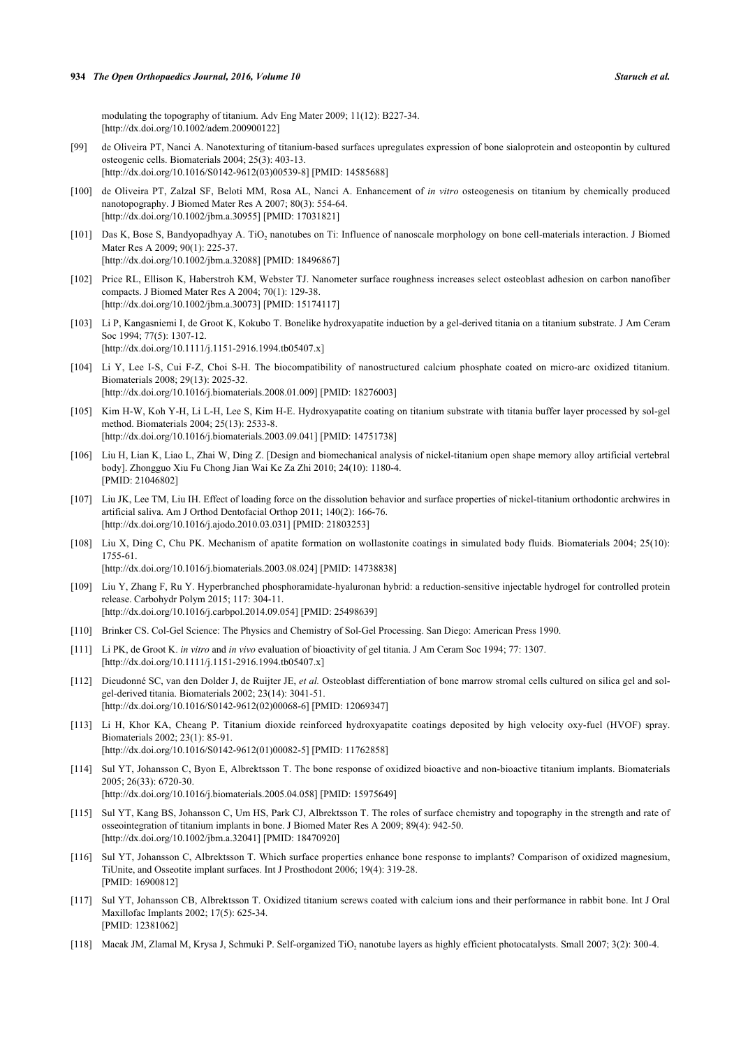modulating the topography of titanium. Adv Eng Mater 2009; 11(12): B227-34. [\[http://dx.doi.org/10.1002/adem.200900122](http://dx.doi.org/10.1002/adem.200900122)]

- [99] de Oliveira PT, Nanci A. Nanotexturing of titanium-based surfaces upregulates expression of bone sialoprotein and osteopontin by cultured osteogenic cells. Biomaterials 2004; 25(3): 403-13. [\[http://dx.doi.org/10.1016/S0142-9612\(03\)00539-8\]](http://dx.doi.org/10.1016/S0142-9612(03)00539-8) [PMID: [14585688](http://www.ncbi.nlm.nih.gov/pubmed/14585688)]
- [100] de Oliveira PT, Zalzal SF, Beloti MM, Rosa AL, Nanci A. Enhancement of *in vitro* osteogenesis on titanium by chemically produced nanotopography. J Biomed Mater Res A 2007; 80(3): 554-64. [\[http://dx.doi.org/10.1002/jbm.a.30955\]](http://dx.doi.org/10.1002/jbm.a.30955) [PMID: [17031821](http://www.ncbi.nlm.nih.gov/pubmed/17031821)]
- [101] Das K, Bose S, Bandyopadhyay A. TiO<sub>2</sub> nanotubes on Ti: Influence of nanoscale morphology on bone cell-materials interaction. J Biomed Mater Res A 2009; 90(1): 225-37. [\[http://dx.doi.org/10.1002/jbm.a.32088\]](http://dx.doi.org/10.1002/jbm.a.32088) [PMID: [18496867](http://www.ncbi.nlm.nih.gov/pubmed/18496867)]
- [102] Price RL, Ellison K, Haberstroh KM, Webster TJ. Nanometer surface roughness increases select osteoblast adhesion on carbon nanofiber compacts. J Biomed Mater Res A 2004; 70(1): 129-38. [\[http://dx.doi.org/10.1002/jbm.a.30073\]](http://dx.doi.org/10.1002/jbm.a.30073) [PMID: [15174117](http://www.ncbi.nlm.nih.gov/pubmed/15174117)]
- [103] Li P, Kangasniemi I, de Groot K, Kokubo T. Bonelike hydroxyapatite induction by a gel-derived titania on a titanium substrate. J Am Ceram Soc 1994; 77(5): 1307-12. [\[http://dx.doi.org/10.1111/j.1151-2916.1994.tb05407.x\]](http://dx.doi.org/10.1111/j.1151-2916.1994.tb05407.x)
- [104] Li Y, Lee I-S, Cui F-Z, Choi S-H. The biocompatibility of nanostructured calcium phosphate coated on micro-arc oxidized titanium. Biomaterials 2008; 29(13): 2025-32. [\[http://dx.doi.org/10.1016/j.biomaterials.2008.01.009\]](http://dx.doi.org/10.1016/j.biomaterials.2008.01.009) [PMID: [18276003](http://www.ncbi.nlm.nih.gov/pubmed/18276003)]
- [105] Kim H-W, Koh Y-H, Li L-H, Lee S, Kim H-E. Hydroxyapatite coating on titanium substrate with titania buffer layer processed by sol-gel method. Biomaterials 2004; 25(13): 2533-8. [\[http://dx.doi.org/10.1016/j.biomaterials.2003.09.041\]](http://dx.doi.org/10.1016/j.biomaterials.2003.09.041) [PMID: [14751738](http://www.ncbi.nlm.nih.gov/pubmed/14751738)]
- [106] Liu H, Lian K, Liao L, Zhai W, Ding Z. [Design and biomechanical analysis of nickel-titanium open shape memory alloy artificial vertebral body]. Zhongguo Xiu Fu Chong Jian Wai Ke Za Zhi 2010; 24(10): 1180-4. [PMID: [21046802\]](http://www.ncbi.nlm.nih.gov/pubmed/21046802)
- [107] Liu JK, Lee TM, Liu IH. Effect of loading force on the dissolution behavior and surface properties of nickel-titanium orthodontic archwires in artificial saliva. Am J Orthod Dentofacial Orthop 2011; 140(2): 166-76. [\[http://dx.doi.org/10.1016/j.ajodo.2010.03.031\]](http://dx.doi.org/10.1016/j.ajodo.2010.03.031) [PMID: [21803253](http://www.ncbi.nlm.nih.gov/pubmed/21803253)]
- [108] Liu X, Ding C, Chu PK. Mechanism of apatite formation on wollastonite coatings in simulated body fluids. Biomaterials 2004; 25(10): 1755-61. [\[http://dx.doi.org/10.1016/j.biomaterials.2003.08.024\]](http://dx.doi.org/10.1016/j.biomaterials.2003.08.024) [PMID: [14738838](http://www.ncbi.nlm.nih.gov/pubmed/14738838)]
- [109] Liu Y, Zhang F, Ru Y. Hyperbranched phosphoramidate-hyaluronan hybrid: a reduction-sensitive injectable hydrogel for controlled protein

release. Carbohydr Polym 2015; 117: 304-11. [\[http://dx.doi.org/10.1016/j.carbpol.2014.09.054](http://dx.doi.org/10.1016/j.carbpol.2014.09.054)] [PMID: [25498639\]](http://www.ncbi.nlm.nih.gov/pubmed/25498639)

- [110] Brinker CS. Col-Gel Science: The Physics and Chemistry of Sol-Gel Processing. San Diego: American Press 1990.
- [111] Li PK, de Groot K. *in vitro* and *in vivo* evaluation of bioactivity of gel titania. J Am Ceram Soc 1994; 77: 1307. [\[http://dx.doi.org/10.1111/j.1151-2916.1994.tb05407.x\]](http://dx.doi.org/10.1111/j.1151-2916.1994.tb05407.x)
- [112] Dieudonné SC, van den Dolder J, de Ruijter JE, *et al.* Osteoblast differentiation of bone marrow stromal cells cultured on silica gel and solgel-derived titania. Biomaterials 2002; 23(14): 3041-51. [\[http://dx.doi.org/10.1016/S0142-9612\(02\)00068-6\]](http://dx.doi.org/10.1016/S0142-9612(02)00068-6) [PMID: [12069347](http://www.ncbi.nlm.nih.gov/pubmed/12069347)]
- [113] Li H, Khor KA, Cheang P. Titanium dioxide reinforced hydroxyapatite coatings deposited by high velocity oxy-fuel (HVOF) spray. Biomaterials 2002; 23(1): 85-91. [\[http://dx.doi.org/10.1016/S0142-9612\(01\)00082-5\]](http://dx.doi.org/10.1016/S0142-9612(01)00082-5) [PMID: [11762858](http://www.ncbi.nlm.nih.gov/pubmed/11762858)]
- [114] Sul YT, Johansson C, Byon E, Albrektsson T. The bone response of oxidized bioactive and non-bioactive titanium implants. Biomaterials 2005; 26(33): 6720-30. [\[http://dx.doi.org/10.1016/j.biomaterials.2005.04.058\]](http://dx.doi.org/10.1016/j.biomaterials.2005.04.058) [PMID: [15975649](http://www.ncbi.nlm.nih.gov/pubmed/15975649)]
- [115] Sul YT, Kang BS, Johansson C, Um HS, Park CJ, Albrektsson T. The roles of surface chemistry and topography in the strength and rate of osseointegration of titanium implants in bone. J Biomed Mater Res A 2009; 89(4): 942-50. [\[http://dx.doi.org/10.1002/jbm.a.32041\]](http://dx.doi.org/10.1002/jbm.a.32041) [PMID: [18470920](http://www.ncbi.nlm.nih.gov/pubmed/18470920)]
- [116] Sul YT, Johansson C, Albrektsson T. Which surface properties enhance bone response to implants? Comparison of oxidized magnesium, TiUnite, and Osseotite implant surfaces. Int J Prosthodont 2006; 19(4): 319-28. [PMID: [16900812\]](http://www.ncbi.nlm.nih.gov/pubmed/16900812)
- [117] Sul YT, Johansson CB, Albrektsson T. Oxidized titanium screws coated with calcium ions and their performance in rabbit bone. Int J Oral Maxillofac Implants 2002; 17(5): 625-34. [PMID: [12381062\]](http://www.ncbi.nlm.nih.gov/pubmed/12381062)
- [118] Macak JM, Zlamal M, Krysa J, Schmuki P. Self-organized TiO<sub>2</sub> nanotube layers as highly efficient photocatalysts. Small 2007; 3(2): 300-4.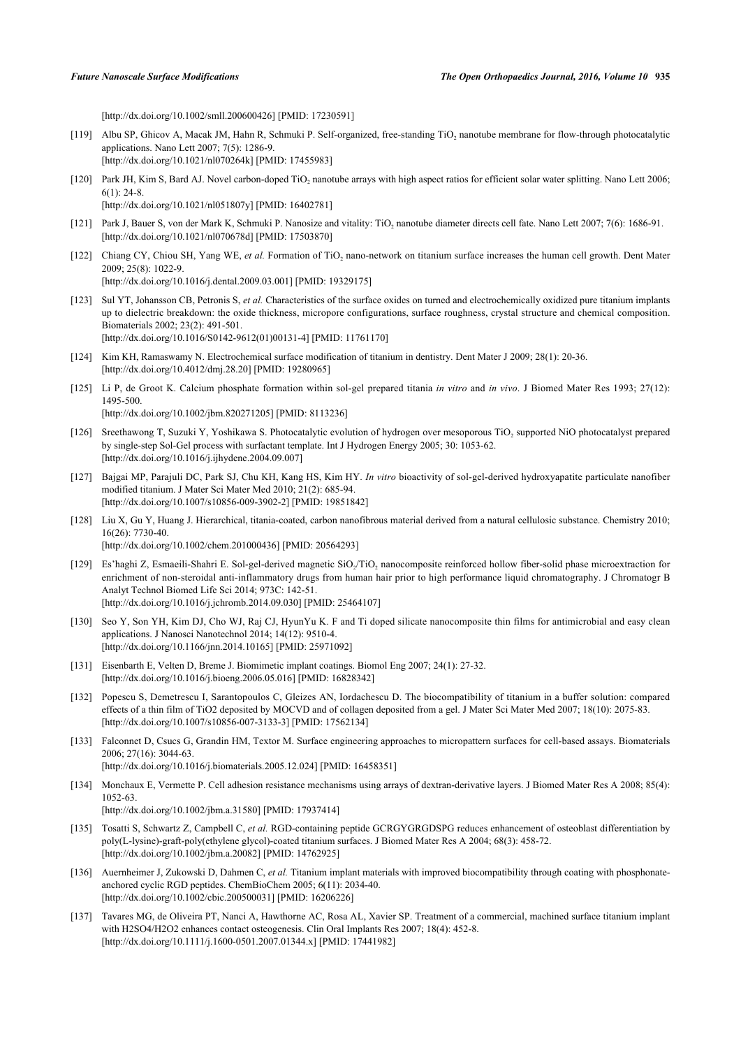[\[http://dx.doi.org/10.1002/smll.200600426\]](http://dx.doi.org/10.1002/smll.200600426) [PMID: [17230591](http://www.ncbi.nlm.nih.gov/pubmed/17230591)]

- [119] Albu SP, Ghicov A, Macak JM, Hahn R, Schmuki P. Self-organized, free-standing  $TiO<sub>2</sub>$  nanotube membrane for flow-through photocatalytic applications. Nano Lett 2007; 7(5): 1286-9. [\[http://dx.doi.org/10.1021/nl070264k](http://dx.doi.org/10.1021/nl070264k)] [PMID: [17455983\]](http://www.ncbi.nlm.nih.gov/pubmed/17455983)
- [120] Park JH, Kim S, Bard AJ. Novel carbon-doped TiO<sub>2</sub> nanotube arrays with high aspect ratios for efficient solar water splitting. Nano Lett 2006; 6(1): 24-8. [\[http://dx.doi.org/10.1021/nl051807y](http://dx.doi.org/10.1021/nl051807y)] [PMID: [16402781\]](http://www.ncbi.nlm.nih.gov/pubmed/16402781)
- [121] Park J, Bauer S, von der Mark K, Schmuki P. Nanosize and vitality: TiO<sub>2</sub> nanotube diameter directs cell fate. Nano Lett 2007; 7(6): 1686-91. [\[http://dx.doi.org/10.1021/nl070678d](http://dx.doi.org/10.1021/nl070678d)] [PMID: [17503870\]](http://www.ncbi.nlm.nih.gov/pubmed/17503870)
- [122] Chiang CY, Chiou SH, Yang WE, et al. Formation of TiO<sub>2</sub> nano-network on titanium surface increases the human cell growth. Dent Mater 2009; 25(8): 1022-9.

[\[http://dx.doi.org/10.1016/j.dental.2009.03.001\]](http://dx.doi.org/10.1016/j.dental.2009.03.001) [PMID: [19329175](http://www.ncbi.nlm.nih.gov/pubmed/19329175)]

- [123] Sul YT, Johansson CB, Petronis S, *et al.* Characteristics of the surface oxides on turned and electrochemically oxidized pure titanium implants up to dielectric breakdown: the oxide thickness, micropore configurations, surface roughness, crystal structure and chemical composition. Biomaterials 2002; 23(2): 491-501. [\[http://dx.doi.org/10.1016/S0142-9612\(01\)00131-4\]](http://dx.doi.org/10.1016/S0142-9612(01)00131-4) [PMID: [11761170](http://www.ncbi.nlm.nih.gov/pubmed/11761170)]
- [124] Kim KH, Ramaswamy N. Electrochemical surface modification of titanium in dentistry. Dent Mater J 2009; 28(1): 20-36. [\[http://dx.doi.org/10.4012/dmj.28.20](http://dx.doi.org/10.4012/dmj.28.20)] [PMID: [19280965\]](http://www.ncbi.nlm.nih.gov/pubmed/19280965)
- [125] Li P, de Groot K. Calcium phosphate formation within sol-gel prepared titania *in vitro* and *in vivo*. J Biomed Mater Res 1993; 27(12): 1495-500. [\[http://dx.doi.org/10.1002/jbm.820271205](http://dx.doi.org/10.1002/jbm.820271205)] [PMID: [8113236\]](http://www.ncbi.nlm.nih.gov/pubmed/8113236)
- [126] Sreethawong T, Suzuki Y, Yoshikawa S. Photocatalytic evolution of hydrogen over mesoporous TiO<sub>2</sub> supported NiO photocatalyst prepared by single-step Sol-Gel process with surfactant template. Int J Hydrogen Energy 2005; 30: 1053-62. [\[http://dx.doi.org/10.1016/j.ijhydene.2004.09.007\]](http://dx.doi.org/10.1016/j.ijhydene.2004.09.007)
- [127] Bajgai MP, Parajuli DC, Park SJ, Chu KH, Kang HS, Kim HY. *In vitro* bioactivity of sol-gel-derived hydroxyapatite particulate nanofiber modified titanium. J Mater Sci Mater Med 2010; 21(2): 685-94. [\[http://dx.doi.org/10.1007/s10856-009-3902-2\]](http://dx.doi.org/10.1007/s10856-009-3902-2) [PMID: [19851842](http://www.ncbi.nlm.nih.gov/pubmed/19851842)]
- [128] Liu X, Gu Y, Huang J. Hierarchical, titania-coated, carbon nanofibrous material derived from a natural cellulosic substance. Chemistry 2010; 16(26): 7730-40.

[\[http://dx.doi.org/10.1002/chem.201000436](http://dx.doi.org/10.1002/chem.201000436)] [PMID: [20564293\]](http://www.ncbi.nlm.nih.gov/pubmed/20564293)

- [129] Es'haghi Z, Esmaeili-Shahri E. Sol-gel-derived magnetic SiO<sub>2</sub>/TiO<sub>2</sub> nanocomposite reinforced hollow fiber-solid phase microextraction for enrichment of non-steroidal anti-inflammatory drugs from human hair prior to high performance liquid chromatography. J Chromatogr B Analyt Technol Biomed Life Sci 2014; 973C: 142-51. [\[http://dx.doi.org/10.1016/j.jchromb.2014.09.030\]](http://dx.doi.org/10.1016/j.jchromb.2014.09.030) [PMID: [25464107](http://www.ncbi.nlm.nih.gov/pubmed/25464107)]
- [130] Seo Y, Son YH, Kim DJ, Cho WJ, Raj CJ, HyunYu K. F and Ti doped silicate nanocomposite thin films for antimicrobial and easy clean applications. J Nanosci Nanotechnol 2014; 14(12): 9510-4. [\[http://dx.doi.org/10.1166/jnn.2014.10165](http://dx.doi.org/10.1166/jnn.2014.10165)] [PMID: [25971092\]](http://www.ncbi.nlm.nih.gov/pubmed/25971092)
- [131] Eisenbarth E, Velten D, Breme J. Biomimetic implant coatings. Biomol Eng 2007; 24(1): 27-32. [\[http://dx.doi.org/10.1016/j.bioeng.2006.05.016\]](http://dx.doi.org/10.1016/j.bioeng.2006.05.016) [PMID: [16828342](http://www.ncbi.nlm.nih.gov/pubmed/16828342)]
- [132] Popescu S, Demetrescu I, Sarantopoulos C, Gleizes AN, Iordachescu D. The biocompatibility of titanium in a buffer solution: compared effects of a thin film of TiO2 deposited by MOCVD and of collagen deposited from a gel. J Mater Sci Mater Med 2007; 18(10): 2075-83. [\[http://dx.doi.org/10.1007/s10856-007-3133-3\]](http://dx.doi.org/10.1007/s10856-007-3133-3) [PMID: [17562134](http://www.ncbi.nlm.nih.gov/pubmed/17562134)]
- [133] Falconnet D, Csucs G, Grandin HM, Textor M. Surface engineering approaches to micropattern surfaces for cell-based assays. Biomaterials 2006; 27(16): 3044-63. [\[http://dx.doi.org/10.1016/j.biomaterials.2005.12.024\]](http://dx.doi.org/10.1016/j.biomaterials.2005.12.024) [PMID: [16458351](http://www.ncbi.nlm.nih.gov/pubmed/16458351)]
- [134] Monchaux E, Vermette P. Cell adhesion resistance mechanisms using arrays of dextran-derivative layers. J Biomed Mater Res A 2008; 85(4): 1052-63.

[\[http://dx.doi.org/10.1002/jbm.a.31580\]](http://dx.doi.org/10.1002/jbm.a.31580) [PMID: [17937414](http://www.ncbi.nlm.nih.gov/pubmed/17937414)]

- [135] Tosatti S, Schwartz Z, Campbell C, *et al.* RGD-containing peptide GCRGYGRGDSPG reduces enhancement of osteoblast differentiation by poly(L-lysine)-graft-poly(ethylene glycol)-coated titanium surfaces. J Biomed Mater Res A 2004; 68(3): 458-72. [\[http://dx.doi.org/10.1002/jbm.a.20082\]](http://dx.doi.org/10.1002/jbm.a.20082) [PMID: [14762925](http://www.ncbi.nlm.nih.gov/pubmed/14762925)]
- [136] Auernheimer J, Zukowski D, Dahmen C, *et al.* Titanium implant materials with improved biocompatibility through coating with phosphonateanchored cyclic RGD peptides. ChemBioChem 2005; 6(11): 2034-40. [\[http://dx.doi.org/10.1002/cbic.200500031](http://dx.doi.org/10.1002/cbic.200500031)] [PMID: [16206226\]](http://www.ncbi.nlm.nih.gov/pubmed/16206226)
- [137] Tavares MG, de Oliveira PT, Nanci A, Hawthorne AC, Rosa AL, Xavier SP. Treatment of a commercial, machined surface titanium implant with H2SO4/H2O2 enhances contact osteogenesis. Clin Oral Implants Res 2007; 18(4): 452-8. [\[http://dx.doi.org/10.1111/j.1600-0501.2007.01344.x\]](http://dx.doi.org/10.1111/j.1600-0501.2007.01344.x) [PMID: [17441982](http://www.ncbi.nlm.nih.gov/pubmed/17441982)]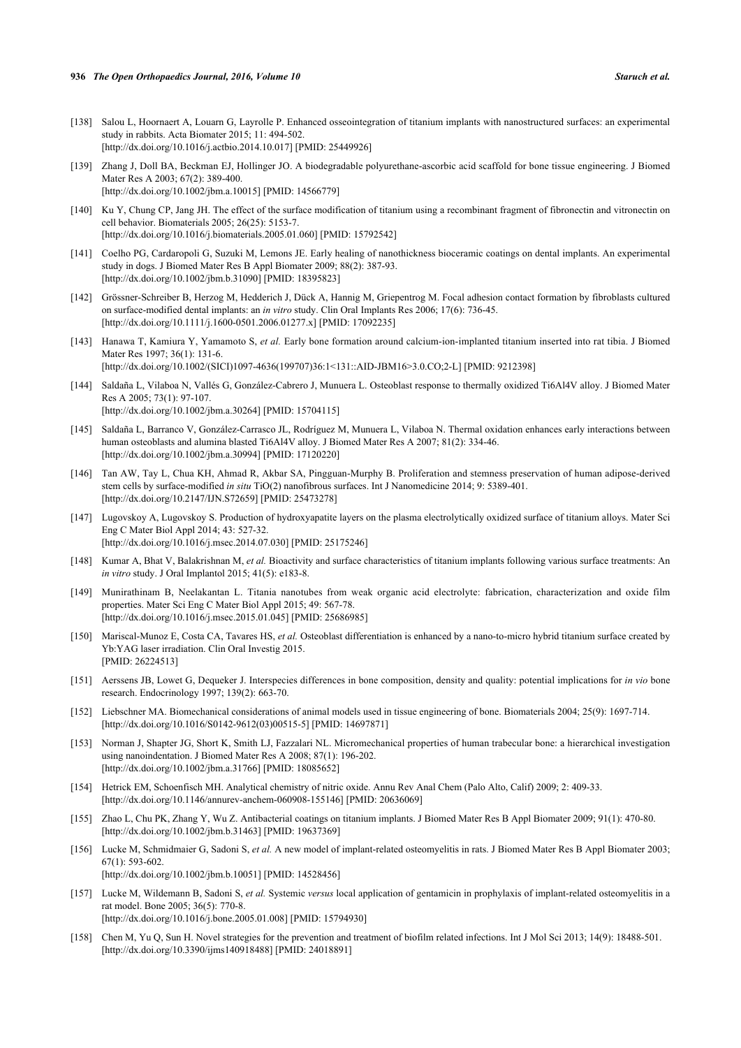- [138] Salou L, Hoornaert A, Louarn G, Layrolle P. Enhanced osseointegration of titanium implants with nanostructured surfaces: an experimental study in rabbits. Acta Biomater 2015; 11: 494-502. [\[http://dx.doi.org/10.1016/j.actbio.2014.10.017\]](http://dx.doi.org/10.1016/j.actbio.2014.10.017) [PMID: [25449926](http://www.ncbi.nlm.nih.gov/pubmed/25449926)]
- [139] Zhang J, Doll BA, Beckman EJ, Hollinger JO. A biodegradable polyurethane-ascorbic acid scaffold for bone tissue engineering. J Biomed Mater Res A 2003; 67(2): 389-400. [\[http://dx.doi.org/10.1002/jbm.a.10015\]](http://dx.doi.org/10.1002/jbm.a.10015) [PMID: [14566779](http://www.ncbi.nlm.nih.gov/pubmed/14566779)]
- [140] Ku Y, Chung CP, Jang JH. The effect of the surface modification of titanium using a recombinant fragment of fibronectin and vitronectin on cell behavior. Biomaterials 2005; 26(25): 5153-7. [\[http://dx.doi.org/10.1016/j.biomaterials.2005.01.060\]](http://dx.doi.org/10.1016/j.biomaterials.2005.01.060) [PMID: [15792542](http://www.ncbi.nlm.nih.gov/pubmed/15792542)]
- [141] Coelho PG, Cardaropoli G, Suzuki M, Lemons JE. Early healing of nanothickness bioceramic coatings on dental implants. An experimental study in dogs. J Biomed Mater Res B Appl Biomater 2009; 88(2): 387-93. [\[http://dx.doi.org/10.1002/jbm.b.31090](http://dx.doi.org/10.1002/jbm.b.31090)] [PMID: [18395823\]](http://www.ncbi.nlm.nih.gov/pubmed/18395823)
- [142] Grössner-Schreiber B, Herzog M, Hedderich J, Dück A, Hannig M, Griepentrog M. Focal adhesion contact formation by fibroblasts cultured on surface-modified dental implants: an *in vitro* study. Clin Oral Implants Res 2006; 17(6): 736-45. [\[http://dx.doi.org/10.1111/j.1600-0501.2006.01277.x\]](http://dx.doi.org/10.1111/j.1600-0501.2006.01277.x) [PMID: [17092235](http://www.ncbi.nlm.nih.gov/pubmed/17092235)]
- [143] Hanawa T, Kamiura Y, Yamamoto S, *et al.* Early bone formation around calcium-ion-implanted titanium inserted into rat tibia. J Biomed Mater Res 1997; 36(1): 131-6. [\[http://dx.doi.org/10.1002/\(SICI\)1097-4636\(199707\)36:1<131::AID-JBM16>3.0.CO;2-L](http://dx.doi.org/10.1002/(SICI)1097-4636(199707)36:1<131::AID-JBM16>3.0.CO;2-L)] [PMID: [9212398\]](http://www.ncbi.nlm.nih.gov/pubmed/9212398)
- [144] Saldaña L, Vilaboa N, Vallés G, González-Cabrero J, Munuera L. Osteoblast response to thermally oxidized Ti6Al4V alloy. J Biomed Mater Res A 2005; 73(1): 97-107. [\[http://dx.doi.org/10.1002/jbm.a.30264\]](http://dx.doi.org/10.1002/jbm.a.30264) [PMID: [15704115](http://www.ncbi.nlm.nih.gov/pubmed/15704115)]
- [145] Saldaña L, Barranco V, González-Carrasco JL, Rodríguez M, Munuera L, Vilaboa N. Thermal oxidation enhances early interactions between human osteoblasts and alumina blasted Ti6Al4V alloy. J Biomed Mater Res A 2007; 81(2): 334-46. [\[http://dx.doi.org/10.1002/jbm.a.30994\]](http://dx.doi.org/10.1002/jbm.a.30994) [PMID: [17120220](http://www.ncbi.nlm.nih.gov/pubmed/17120220)]
- [146] Tan AW, Tay L, Chua KH, Ahmad R, Akbar SA, Pingguan-Murphy B. Proliferation and stemness preservation of human adipose-derived stem cells by surface-modified *in situ* TiO(2) nanofibrous surfaces. Int J Nanomedicine 2014; 9: 5389-401. [\[http://dx.doi.org/10.2147/IJN.S72659\]](http://dx.doi.org/10.2147/IJN.S72659) [PMID: [25473278](http://www.ncbi.nlm.nih.gov/pubmed/25473278)]
- [147] Lugovskoy A, Lugovskoy S. Production of hydroxyapatite layers on the plasma electrolytically oxidized surface of titanium alloys. Mater Sci Eng C Mater Biol Appl 2014; 43: 527-32. [\[http://dx.doi.org/10.1016/j.msec.2014.07.030](http://dx.doi.org/10.1016/j.msec.2014.07.030)] [PMID: [25175246](http://www.ncbi.nlm.nih.gov/pubmed/25175246)]
- [148] Kumar A, Bhat V, Balakrishnan M, *et al.* Bioactivity and surface characteristics of titanium implants following various surface treatments: An *in vitro* study. J Oral Implantol 2015; 41(5): e183-8.
- [149] Munirathinam B, Neelakantan L. Titania nanotubes from weak organic acid electrolyte: fabrication, characterization and oxide film properties. Mater Sci Eng C Mater Biol Appl 2015; 49: 567-78. [\[http://dx.doi.org/10.1016/j.msec.2015.01.045](http://dx.doi.org/10.1016/j.msec.2015.01.045)] [PMID: [25686985](http://www.ncbi.nlm.nih.gov/pubmed/25686985)]
- [150] Mariscal-Munoz E, Costa CA, Tavares HS, *et al.* Osteoblast differentiation is enhanced by a nano-to-micro hybrid titanium surface created by Yb:YAG laser irradiation. Clin Oral Investig 2015. [PMID: [26224513\]](http://www.ncbi.nlm.nih.gov/pubmed/26224513)
- [151] Aerssens JB, Lowet G, Dequeker J. Interspecies differences in bone composition, density and quality: potential implications for *in vio* bone research. Endocrinology 1997; 139(2): 663-70.
- [152] Liebschner MA. Biomechanical considerations of animal models used in tissue engineering of bone. Biomaterials 2004; 25(9): 1697-714. [\[http://dx.doi.org/10.1016/S0142-9612\(03\)00515-5\]](http://dx.doi.org/10.1016/S0142-9612(03)00515-5) [PMID: [14697871](http://www.ncbi.nlm.nih.gov/pubmed/14697871)]
- [153] Norman J, Shapter JG, Short K, Smith LJ, Fazzalari NL. Micromechanical properties of human trabecular bone: a hierarchical investigation using nanoindentation. J Biomed Mater Res A 2008; 87(1): 196-202. [\[http://dx.doi.org/10.1002/jbm.a.31766\]](http://dx.doi.org/10.1002/jbm.a.31766) [PMID: [18085652](http://www.ncbi.nlm.nih.gov/pubmed/18085652)]
- [154] Hetrick EM, Schoenfisch MH. Analytical chemistry of nitric oxide. Annu Rev Anal Chem (Palo Alto, Calif) 2009; 2: 409-33. [\[http://dx.doi.org/10.1146/annurev-anchem-060908-155146](http://dx.doi.org/10.1146/annurev-anchem-060908-155146)] [PMID: [20636069](http://www.ncbi.nlm.nih.gov/pubmed/20636069)]
- [155] Zhao L, Chu PK, Zhang Y, Wu Z. Antibacterial coatings on titanium implants. J Biomed Mater Res B Appl Biomater 2009; 91(1): 470-80. [\[http://dx.doi.org/10.1002/jbm.b.31463](http://dx.doi.org/10.1002/jbm.b.31463)] [PMID: [19637369\]](http://www.ncbi.nlm.nih.gov/pubmed/19637369)
- [156] Lucke M, Schmidmaier G, Sadoni S, *et al.* A new model of implant-related osteomyelitis in rats. J Biomed Mater Res B Appl Biomater 2003; 67(1): 593-602. [\[http://dx.doi.org/10.1002/jbm.b.10051](http://dx.doi.org/10.1002/jbm.b.10051)] [PMID: [14528456\]](http://www.ncbi.nlm.nih.gov/pubmed/14528456)
- [157] Lucke M, Wildemann B, Sadoni S, *et al.* Systemic *versus* local application of gentamicin in prophylaxis of implant-related osteomyelitis in a rat model. Bone 2005; 36(5): 770-8. [\[http://dx.doi.org/10.1016/j.bone.2005.01.008\]](http://dx.doi.org/10.1016/j.bone.2005.01.008) [PMID: [15794930](http://www.ncbi.nlm.nih.gov/pubmed/15794930)]
- [158] Chen M, Yu Q, Sun H. Novel strategies for the prevention and treatment of biofilm related infections. Int J Mol Sci 2013; 14(9): 18488-501. [\[http://dx.doi.org/10.3390/ijms140918488\]](http://dx.doi.org/10.3390/ijms140918488) [PMID: [24018891](http://www.ncbi.nlm.nih.gov/pubmed/24018891)]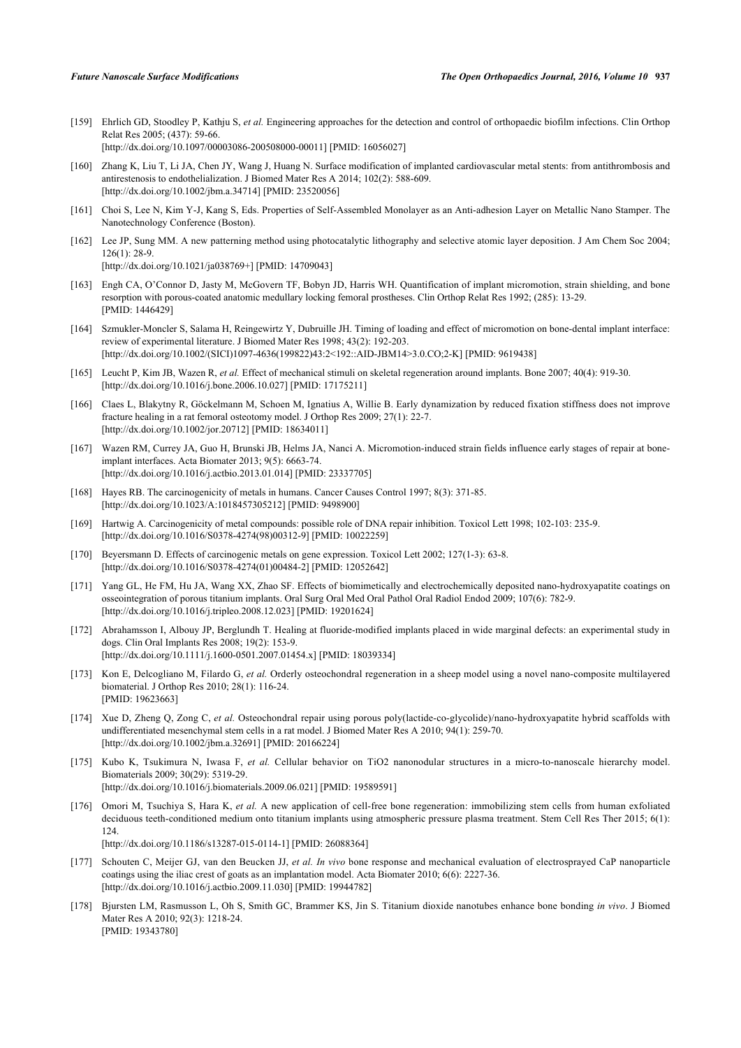[159] Ehrlich GD, Stoodley P, Kathju S, *et al.* Engineering approaches for the detection and control of orthopaedic biofilm infections. Clin Orthop Relat Res 2005; (437): 59-66. [\[http://dx.doi.org/10.1097/00003086-200508000-00011](http://dx.doi.org/10.1097/00003086-200508000-00011)] [PMID: [16056027\]](http://www.ncbi.nlm.nih.gov/pubmed/16056027)

[160] Zhang K, Liu T, Li JA, Chen JY, Wang J, Huang N. Surface modification of implanted cardiovascular metal stents: from antithrombosis and antirestenosis to endothelialization. J Biomed Mater Res A 2014; 102(2): 588-609. [\[http://dx.doi.org/10.1002/jbm.a.34714\]](http://dx.doi.org/10.1002/jbm.a.34714) [PMID: [23520056](http://www.ncbi.nlm.nih.gov/pubmed/23520056)]

- [161] Choi S, Lee N, Kim Y-J, Kang S, Eds. Properties of Self-Assembled Monolayer as an Anti-adhesion Layer on Metallic Nano Stamper. The Nanotechnology Conference (Boston).
- [162] Lee JP, Sung MM. A new patterning method using photocatalytic lithography and selective atomic layer deposition. J Am Chem Soc 2004; 126(1): 28-9.

[\[http://dx.doi.org/10.1021/ja038769+](http://dx.doi.org/10.1021/ja038769+)] [PMID: [14709043\]](http://www.ncbi.nlm.nih.gov/pubmed/14709043)

- [163] Engh CA, O'Connor D, Jasty M, McGovern TF, Bobyn JD, Harris WH. Quantification of implant micromotion, strain shielding, and bone resorption with porous-coated anatomic medullary locking femoral prostheses. Clin Orthop Relat Res 1992; (285): 13-29. [PMID: [1446429\]](http://www.ncbi.nlm.nih.gov/pubmed/1446429)
- [164] Szmukler-Moncler S, Salama H, Reingewirtz Y, Dubruille JH. Timing of loading and effect of micromotion on bone-dental implant interface: review of experimental literature. J Biomed Mater Res 1998; 43(2): 192-203. [\[http://dx.doi.org/10.1002/\(SICI\)1097-4636\(199822\)43:2<192::AID-JBM14>3.0.CO;2-K](http://dx.doi.org/10.1002/(SICI)1097-4636(199822)43:2<192::AID-JBM14>3.0.CO;2-K)] [PMID: [9619438\]](http://www.ncbi.nlm.nih.gov/pubmed/9619438)
- [165] Leucht P, Kim JB, Wazen R, *et al.* Effect of mechanical stimuli on skeletal regeneration around implants. Bone 2007; 40(4): 919-30. [\[http://dx.doi.org/10.1016/j.bone.2006.10.027\]](http://dx.doi.org/10.1016/j.bone.2006.10.027) [PMID: [17175211](http://www.ncbi.nlm.nih.gov/pubmed/17175211)]
- [166] Claes L, Blakytny R, Göckelmann M, Schoen M, Ignatius A, Willie B. Early dynamization by reduced fixation stiffness does not improve fracture healing in a rat femoral osteotomy model. J Orthop Res 2009; 27(1): 22-7. [\[http://dx.doi.org/10.1002/jor.20712\]](http://dx.doi.org/10.1002/jor.20712) [PMID: [18634011](http://www.ncbi.nlm.nih.gov/pubmed/18634011)]
- [167] Wazen RM, Currey JA, Guo H, Brunski JB, Helms JA, Nanci A. Micromotion-induced strain fields influence early stages of repair at boneimplant interfaces. Acta Biomater 2013; 9(5): 6663-74. [\[http://dx.doi.org/10.1016/j.actbio.2013.01.014\]](http://dx.doi.org/10.1016/j.actbio.2013.01.014) [PMID: [23337705](http://www.ncbi.nlm.nih.gov/pubmed/23337705)]
- [168] Hayes RB. The carcinogenicity of metals in humans. Cancer Causes Control 1997; 8(3): 371-85. [\[http://dx.doi.org/10.1023/A:1018457305212\]](http://dx.doi.org/10.1023/A:1018457305212) [PMID: [9498900](http://www.ncbi.nlm.nih.gov/pubmed/9498900)]
- [169] Hartwig A. Carcinogenicity of metal compounds: possible role of DNA repair inhibition. Toxicol Lett 1998; 102-103: 235-9. [\[http://dx.doi.org/10.1016/S0378-4274\(98\)00312-9\]](http://dx.doi.org/10.1016/S0378-4274(98)00312-9) [PMID: [10022259](http://www.ncbi.nlm.nih.gov/pubmed/10022259)]
- [170] Beyersmann D. Effects of carcinogenic metals on gene expression. Toxicol Lett 2002; 127(1-3): 63-8. [\[http://dx.doi.org/10.1016/S0378-4274\(01\)00484-2\]](http://dx.doi.org/10.1016/S0378-4274(01)00484-2) [PMID: [12052642](http://www.ncbi.nlm.nih.gov/pubmed/12052642)]
- [171] Yang GL, He FM, Hu JA, Wang XX, Zhao SF. Effects of biomimetically and electrochemically deposited nano-hydroxyapatite coatings on osseointegration of porous titanium implants. Oral Surg Oral Med Oral Pathol Oral Radiol Endod 2009; 107(6): 782-9. [\[http://dx.doi.org/10.1016/j.tripleo.2008.12.023\]](http://dx.doi.org/10.1016/j.tripleo.2008.12.023) [PMID: [19201624](http://www.ncbi.nlm.nih.gov/pubmed/19201624)]
- [172] Abrahamsson I, Albouy JP, Berglundh T. Healing at fluoride-modified implants placed in wide marginal defects: an experimental study in dogs. Clin Oral Implants Res 2008; 19(2): 153-9. [\[http://dx.doi.org/10.1111/j.1600-0501.2007.01454.x\]](http://dx.doi.org/10.1111/j.1600-0501.2007.01454.x) [PMID: [18039334](http://www.ncbi.nlm.nih.gov/pubmed/18039334)]
- [173] Kon E, Delcogliano M, Filardo G, *et al.* Orderly osteochondral regeneration in a sheep model using a novel nano-composite multilayered biomaterial. J Orthop Res 2010; 28(1): 116-24. [PMID: [19623663\]](http://www.ncbi.nlm.nih.gov/pubmed/19623663)
- [174] Xue D, Zheng Q, Zong C, *et al.* Osteochondral repair using porous poly(lactide-co-glycolide)/nano-hydroxyapatite hybrid scaffolds with undifferentiated mesenchymal stem cells in a rat model. J Biomed Mater Res A 2010; 94(1): 259-70. [\[http://dx.doi.org/10.1002/jbm.a.32691\]](http://dx.doi.org/10.1002/jbm.a.32691) [PMID: [20166224](http://www.ncbi.nlm.nih.gov/pubmed/20166224)]
- [175] Kubo K, Tsukimura N, Iwasa F, *et al.* Cellular behavior on TiO2 nanonodular structures in a micro-to-nanoscale hierarchy model. Biomaterials 2009; 30(29): 5319-29. [\[http://dx.doi.org/10.1016/j.biomaterials.2009.06.021\]](http://dx.doi.org/10.1016/j.biomaterials.2009.06.021) [PMID: [19589591](http://www.ncbi.nlm.nih.gov/pubmed/19589591)]
- [176] Omori M, Tsuchiya S, Hara K, *et al.* A new application of cell-free bone regeneration: immobilizing stem cells from human exfoliated deciduous teeth-conditioned medium onto titanium implants using atmospheric pressure plasma treatment. Stem Cell Res Ther 2015; 6(1): 124. [\[http://dx.doi.org/10.1186/s13287-015-0114-1\]](http://dx.doi.org/10.1186/s13287-015-0114-1) [PMID: [26088364](http://www.ncbi.nlm.nih.gov/pubmed/26088364)]
- [177] Schouten C, Meijer GJ, van den Beucken JJ, *et al. In vivo* bone response and mechanical evaluation of electrosprayed CaP nanoparticle coatings using the iliac crest of goats as an implantation model. Acta Biomater 2010; 6(6): 2227-36. [\[http://dx.doi.org/10.1016/j.actbio.2009.11.030\]](http://dx.doi.org/10.1016/j.actbio.2009.11.030) [PMID: [19944782](http://www.ncbi.nlm.nih.gov/pubmed/19944782)]
- [178] Bjursten LM, Rasmusson L, Oh S, Smith GC, Brammer KS, Jin S. Titanium dioxide nanotubes enhance bone bonding *in vivo*. J Biomed Mater Res A 2010; 92(3): 1218-24. [PMID: [19343780\]](http://www.ncbi.nlm.nih.gov/pubmed/19343780)